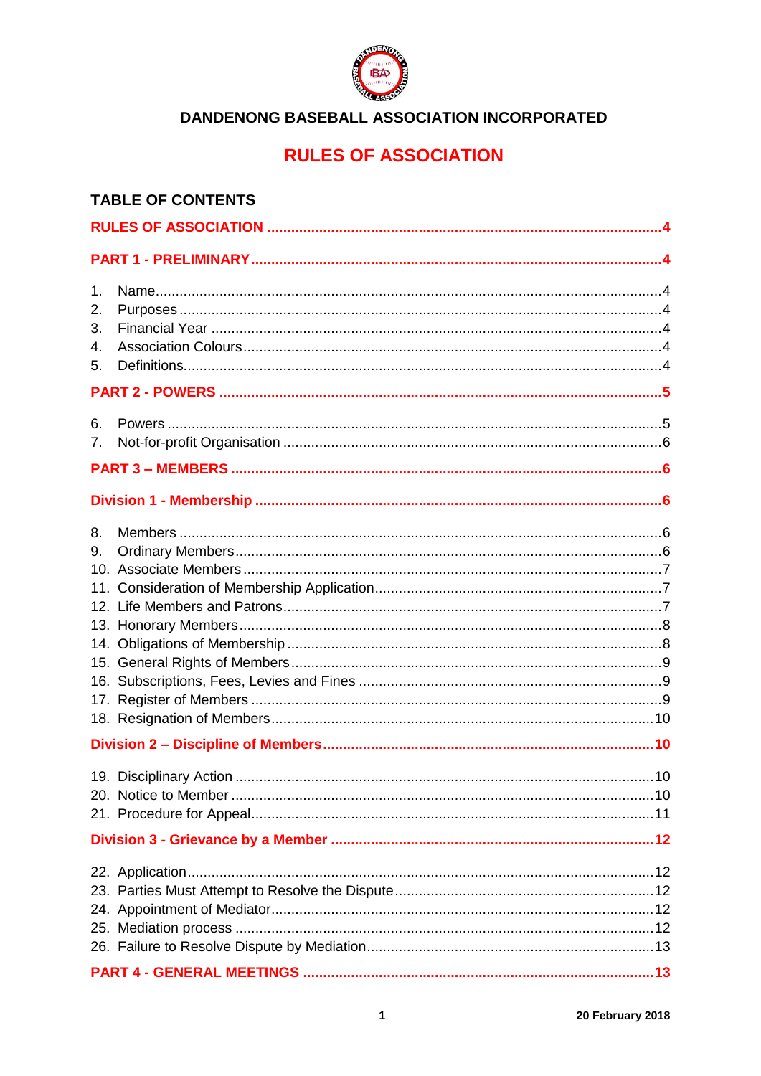

# **RULES OF ASSOCIATION**

| <b>TABLE OF CONTENTS</b>   |  |  |  |  |
|----------------------------|--|--|--|--|
|                            |  |  |  |  |
|                            |  |  |  |  |
| 1.<br>2.<br>3.<br>4.<br>5. |  |  |  |  |
|                            |  |  |  |  |
| 6.<br>7.                   |  |  |  |  |
|                            |  |  |  |  |
|                            |  |  |  |  |
| 8.<br>9.                   |  |  |  |  |
|                            |  |  |  |  |
|                            |  |  |  |  |
|                            |  |  |  |  |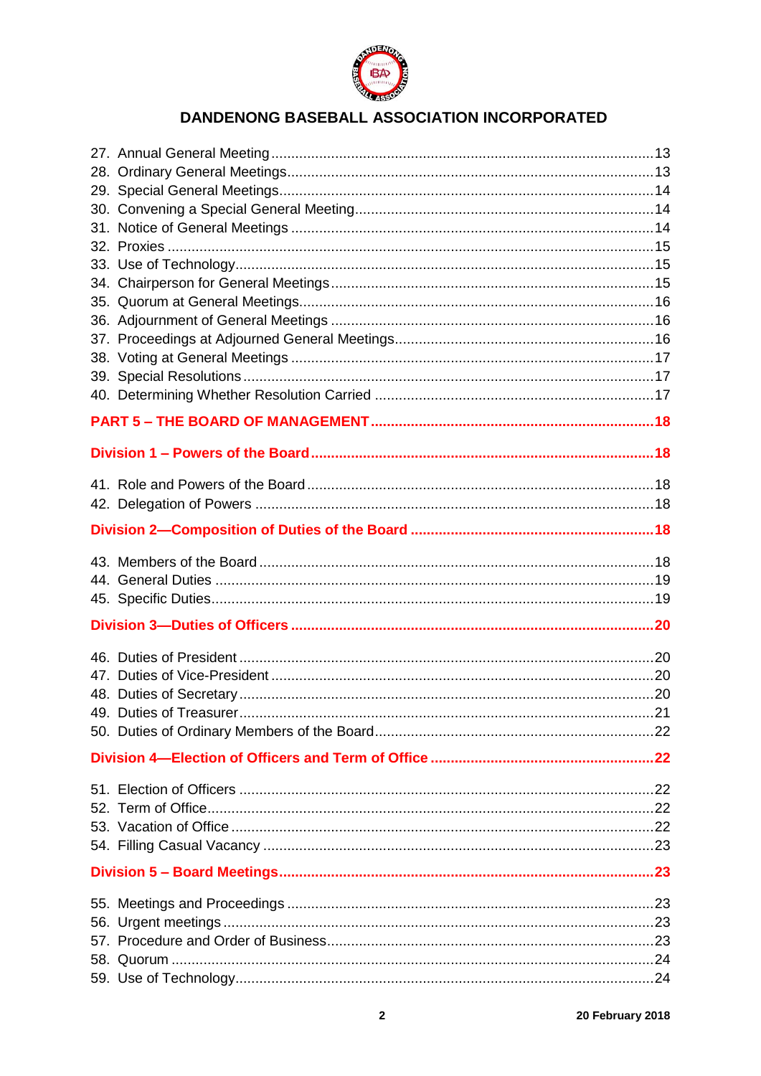

| Division 1 – Powers of the Board…………………………………………………………………………………18 |  |  |  |
|-------------------------------------------------------------------|--|--|--|
|                                                                   |  |  |  |
|                                                                   |  |  |  |
|                                                                   |  |  |  |
|                                                                   |  |  |  |
|                                                                   |  |  |  |
|                                                                   |  |  |  |
|                                                                   |  |  |  |
|                                                                   |  |  |  |
|                                                                   |  |  |  |
|                                                                   |  |  |  |
|                                                                   |  |  |  |
|                                                                   |  |  |  |
|                                                                   |  |  |  |
|                                                                   |  |  |  |
|                                                                   |  |  |  |
|                                                                   |  |  |  |
|                                                                   |  |  |  |
|                                                                   |  |  |  |
|                                                                   |  |  |  |
|                                                                   |  |  |  |
|                                                                   |  |  |  |
|                                                                   |  |  |  |
|                                                                   |  |  |  |
|                                                                   |  |  |  |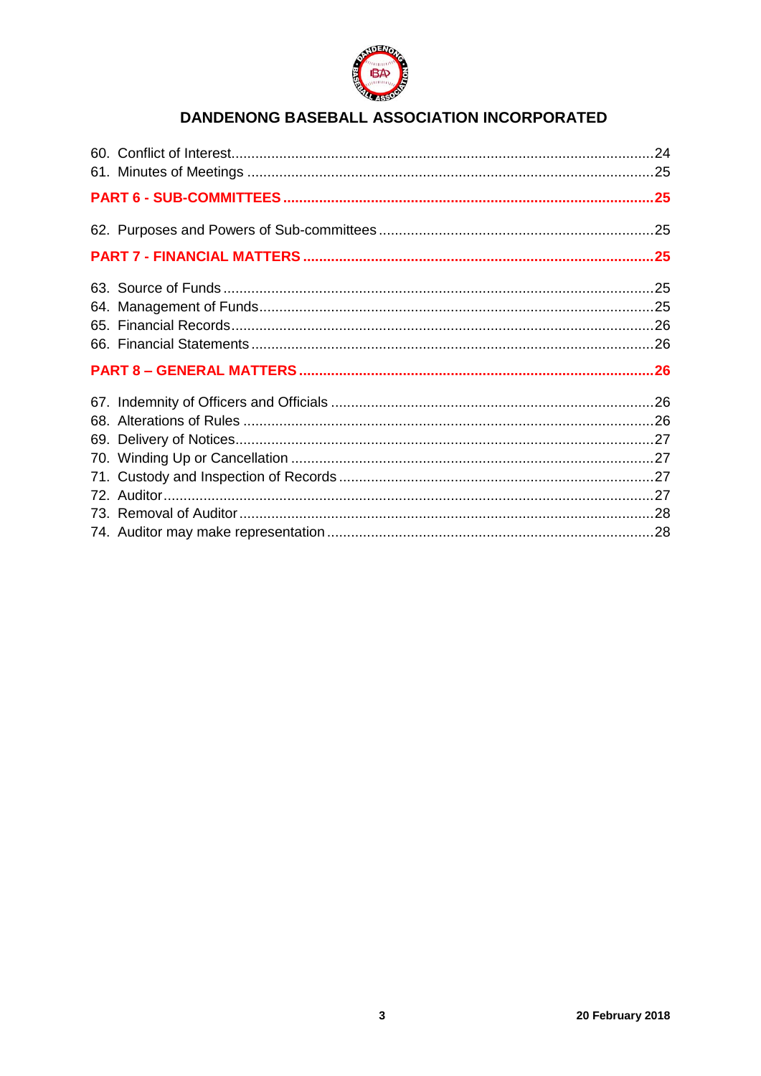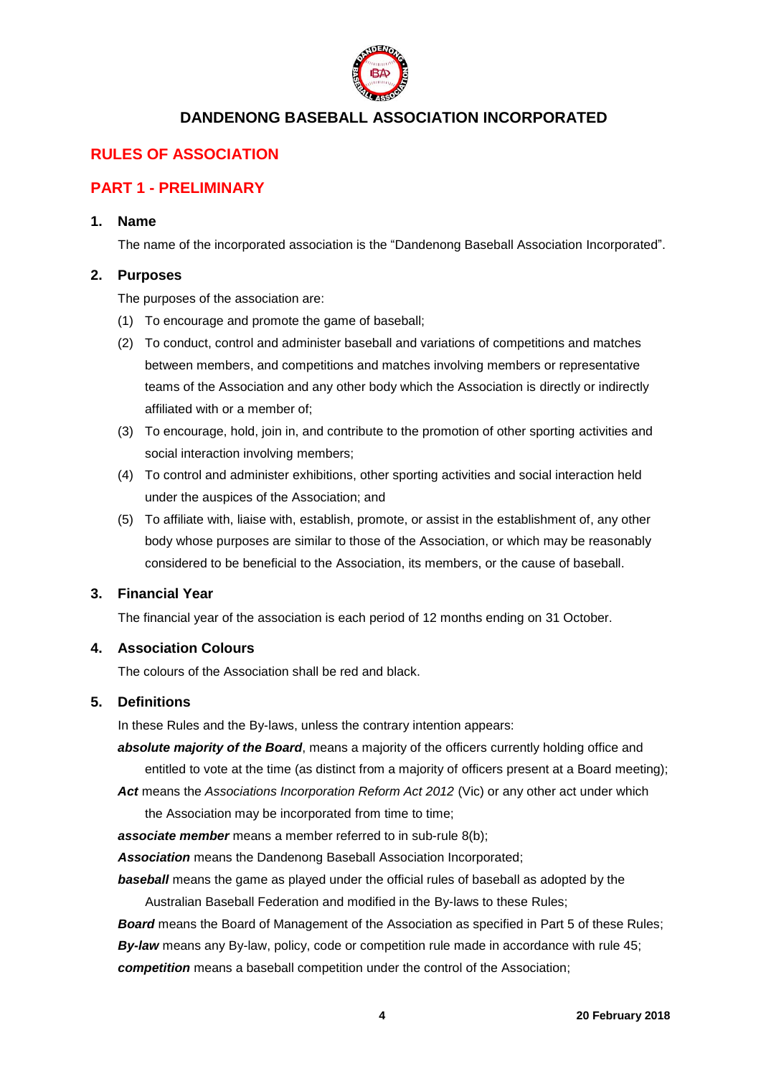

## <span id="page-3-0"></span>**RULES OF ASSOCIATION**

## <span id="page-3-1"></span>**PART 1 - PRELIMINARY**

## <span id="page-3-2"></span>**1. Name**

The name of the incorporated association is the "Dandenong Baseball Association Incorporated".

#### <span id="page-3-3"></span>**2. Purposes**

The purposes of the association are:

- (1) To encourage and promote the game of baseball;
- (2) To conduct, control and administer baseball and variations of competitions and matches between members, and competitions and matches involving members or representative teams of the Association and any other body which the Association is directly or indirectly affiliated with or a member of;
- (3) To encourage, hold, join in, and contribute to the promotion of other sporting activities and social interaction involving members;
- (4) To control and administer exhibitions, other sporting activities and social interaction held under the auspices of the Association; and
- (5) To affiliate with, liaise with, establish, promote, or assist in the establishment of, any other body whose purposes are similar to those of the Association, or which may be reasonably considered to be beneficial to the Association, its members, or the cause of baseball.

#### <span id="page-3-4"></span>**3. Financial Year**

The financial year of the association is each period of 12 months ending on 31 October.

#### <span id="page-3-5"></span>**4. Association Colours**

The colours of the Association shall be red and black.

#### <span id="page-3-6"></span>**5. Definitions**

In these Rules and the By-laws, unless the contrary intention appears:

*absolute majority of the Board*, means a majority of the officers currently holding office and entitled to vote at the time (as distinct from a majority of officers present at a Board meeting);

Act means the *Associations Incorporation Reform Act 2012* (Vic) or any other act under which the Association may be incorporated from time to time;

*associate member* means a member referred to in sub-rule 8(b);

*Association* means the Dandenong Baseball Association Incorporated;

*baseball* means the game as played under the official rules of baseball as adopted by the Australian Baseball Federation and modified in the By-laws to these Rules;

*Board* means the Board of Management of the Association as specified in Part 5 of these Rules; *By-law* means any By-law, policy, code or competition rule made in accordance with rule 45; *competition* means a baseball competition under the control of the Association;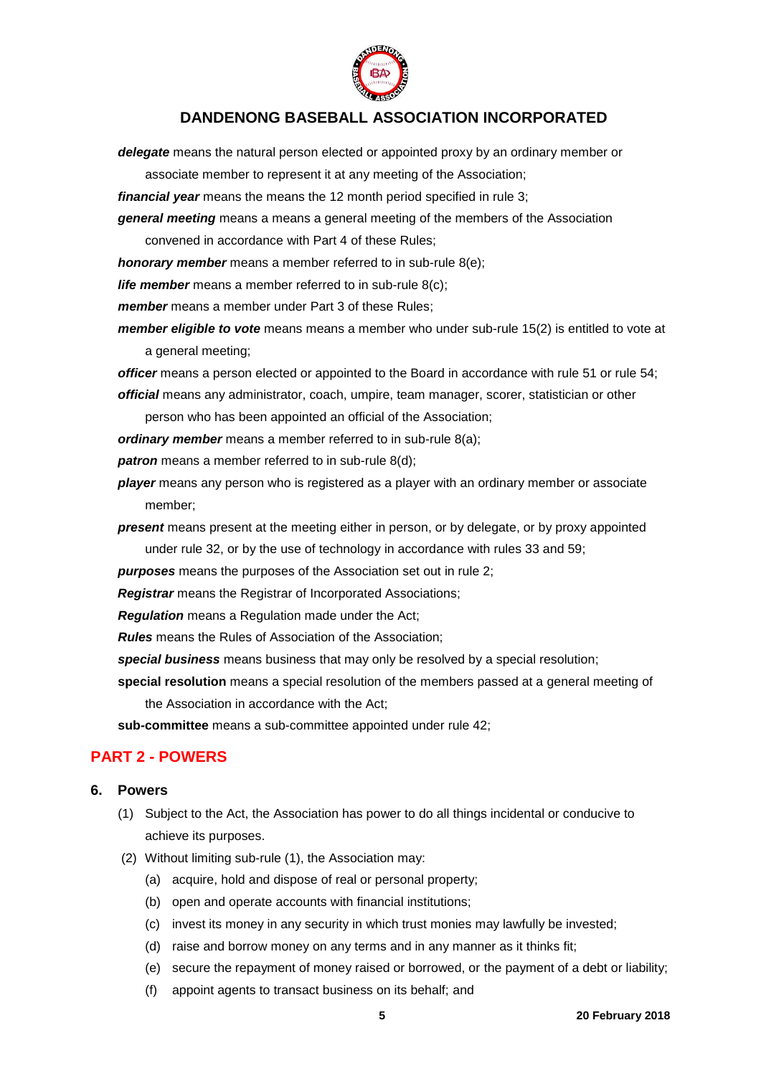

*delegate* means the natural person elected or appointed proxy by an ordinary member or

associate member to represent it at any meeting of the Association;

*financial year* means the means the 12 month period specified in rule 3;

*general meeting* means a means a general meeting of the members of the Association

convened in accordance with Part 4 of these Rules;

*honorary member* means a member referred to in sub-rule 8(e);

*life member* means a member referred to in sub-rule 8(c);

*member* means a member under Part 3 of these Rules;

*member eligible to vote* means means a member who under sub-rule 15(2) is entitled to vote at a general meeting;

*officer* means a person elected or appointed to the Board in accordance with rule 51 or rule 54; *official* means any administrator, coach, umpire, team manager, scorer, statistician or other

person who has been appointed an official of the Association;

*ordinary member* means a member referred to in sub-rule 8(a);

**patron** means a member referred to in sub-rule 8(d);

- *player* means any person who is registered as a player with an ordinary member or associate member;
- *present* means present at the meeting either in person, or by delegate, or by proxy appointed under rule 32, or by the use of technology in accordance with rules 33 and 59;

*purposes* means the purposes of the Association set out in rule 2;

*Registrar* means the Registrar of Incorporated Associations;

*Regulation* means a Regulation made under the Act;

*Rules* means the Rules of Association of the Association;

*special business* means business that may only be resolved by a special resolution;

**special resolution** means a special resolution of the members passed at a general meeting of the Association in accordance with the Act;

**sub-committee** means a sub-committee appointed under rule 42;

## <span id="page-4-0"></span>**PART 2 - POWERS**

#### <span id="page-4-1"></span>**6. Powers**

- (1) Subject to the Act, the Association has power to do all things incidental or conducive to achieve its purposes.
- (2) Without limiting sub-rule (1), the Association may:
	- (a) acquire, hold and dispose of real or personal property;
	- (b) open and operate accounts with financial institutions;
	- (c) invest its money in any security in which trust monies may lawfully be invested;
	- (d) raise and borrow money on any terms and in any manner as it thinks fit;
	- (e) secure the repayment of money raised or borrowed, or the payment of a debt or liability;
	- (f) appoint agents to transact business on its behalf; and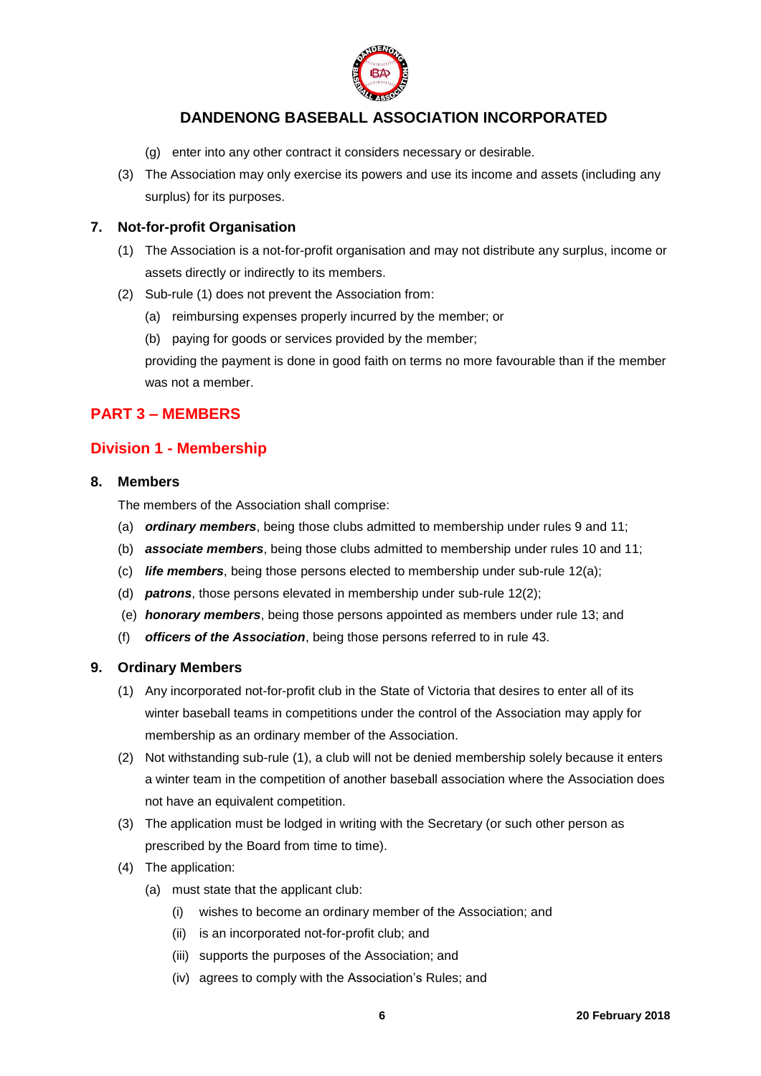

- (g) enter into any other contract it considers necessary or desirable.
- (3) The Association may only exercise its powers and use its income and assets (including any surplus) for its purposes.

### <span id="page-5-0"></span>**7. Not-for-profit Organisation**

- (1) The Association is a not-for-profit organisation and may not distribute any surplus, income or assets directly or indirectly to its members.
- (2) Sub-rule (1) does not prevent the Association from:
	- (a) reimbursing expenses properly incurred by the member; or
	- (b) paying for goods or services provided by the member;

providing the payment is done in good faith on terms no more favourable than if the member was not a member.

## <span id="page-5-1"></span>**PART 3 – MEMBERS**

## <span id="page-5-2"></span>**Division 1 - Membership**

#### <span id="page-5-3"></span>**8. Members**

The members of the Association shall comprise:

- (a) *ordinary members*, being those clubs admitted to membership under rules 9 and 11;
- (b) *associate members*, being those clubs admitted to membership under rules 10 and 11;
- (c) *life members*, being those persons elected to membership under sub-rule 12(a);
- (d) *patrons*, those persons elevated in membership under sub-rule 12(2);
- (e) *honorary members*, being those persons appointed as members under rule 13; and
- (f) *officers of the Association*, being those persons referred to in rule 43.

## <span id="page-5-4"></span>**9. Ordinary Members**

- (1) Any incorporated not-for-profit club in the State of Victoria that desires to enter all of its winter baseball teams in competitions under the control of the Association may apply for membership as an ordinary member of the Association.
- (2) Not withstanding sub-rule (1), a club will not be denied membership solely because it enters a winter team in the competition of another baseball association where the Association does not have an equivalent competition.
- (3) The application must be lodged in writing with the Secretary (or such other person as prescribed by the Board from time to time).
- (4) The application:
	- (a) must state that the applicant club:
		- (i) wishes to become an ordinary member of the Association; and
		- (ii) is an incorporated not-for-profit club; and
		- (iii) supports the purposes of the Association; and
		- (iv) agrees to comply with the Association's Rules; and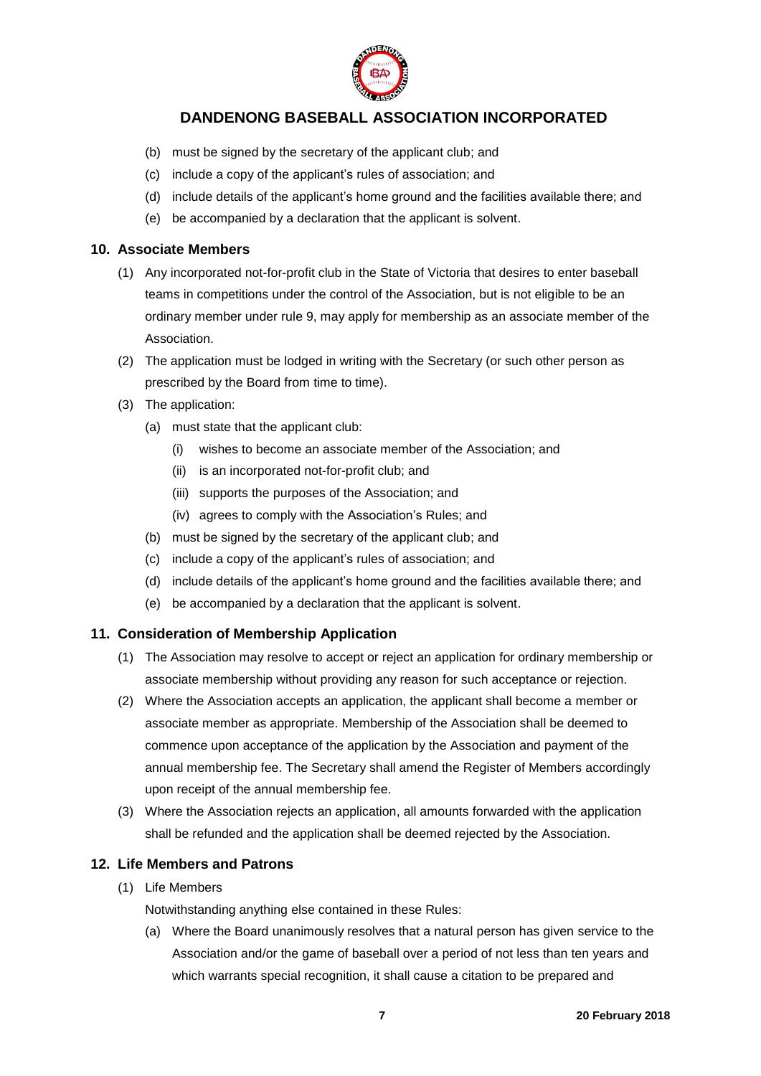

- (b) must be signed by the secretary of the applicant club; and
- (c) include a copy of the applicant's rules of association; and
- (d) include details of the applicant's home ground and the facilities available there; and
- (e) be accompanied by a declaration that the applicant is solvent.

#### <span id="page-6-0"></span>**10. Associate Members**

- (1) Any incorporated not-for-profit club in the State of Victoria that desires to enter baseball teams in competitions under the control of the Association, but is not eligible to be an ordinary member under rule 9, may apply for membership as an associate member of the Association.
- (2) The application must be lodged in writing with the Secretary (or such other person as prescribed by the Board from time to time).
- (3) The application:
	- (a) must state that the applicant club:
		- (i) wishes to become an associate member of the Association; and
		- (ii) is an incorporated not-for-profit club; and
		- (iii) supports the purposes of the Association; and
		- (iv) agrees to comply with the Association's Rules; and
	- (b) must be signed by the secretary of the applicant club; and
	- (c) include a copy of the applicant's rules of association; and
	- (d) include details of the applicant's home ground and the facilities available there; and
	- (e) be accompanied by a declaration that the applicant is solvent.

## <span id="page-6-1"></span>**11. Consideration of Membership Application**

- (1) The Association may resolve to accept or reject an application for ordinary membership or associate membership without providing any reason for such acceptance or rejection.
- (2) Where the Association accepts an application, the applicant shall become a member or associate member as appropriate. Membership of the Association shall be deemed to commence upon acceptance of the application by the Association and payment of the annual membership fee. The Secretary shall amend the Register of Members accordingly upon receipt of the annual membership fee.
- (3) Where the Association rejects an application, all amounts forwarded with the application shall be refunded and the application shall be deemed rejected by the Association.

## <span id="page-6-2"></span>**12. Life Members and Patrons**

(1) Life Members

Notwithstanding anything else contained in these Rules:

(a) Where the Board unanimously resolves that a natural person has given service to the Association and/or the game of baseball over a period of not less than ten years and which warrants special recognition, it shall cause a citation to be prepared and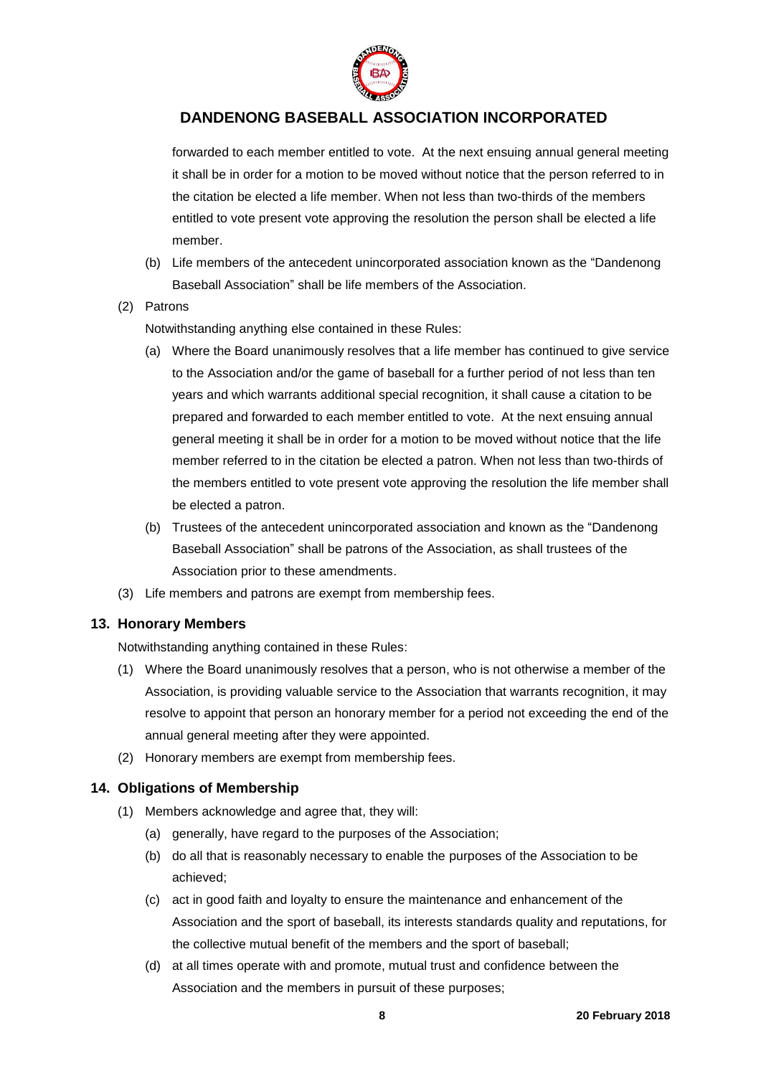

forwarded to each member entitled to vote. At the next ensuing annual general meeting it shall be in order for a motion to be moved without notice that the person referred to in the citation be elected a life member. When not less than two-thirds of the members entitled to vote present vote approving the resolution the person shall be elected a life member.

(b) Life members of the antecedent unincorporated association known as the "Dandenong Baseball Association" shall be life members of the Association.

#### (2) Patrons

Notwithstanding anything else contained in these Rules:

- (a) Where the Board unanimously resolves that a life member has continued to give service to the Association and/or the game of baseball for a further period of not less than ten years and which warrants additional special recognition, it shall cause a citation to be prepared and forwarded to each member entitled to vote. At the next ensuing annual general meeting it shall be in order for a motion to be moved without notice that the life member referred to in the citation be elected a patron. When not less than two-thirds of the members entitled to vote present vote approving the resolution the life member shall be elected a patron.
- (b) Trustees of the antecedent unincorporated association and known as the "Dandenong Baseball Association" shall be patrons of the Association, as shall trustees of the Association prior to these amendments.
- (3) Life members and patrons are exempt from membership fees.

## <span id="page-7-0"></span>**13. Honorary Members**

Notwithstanding anything contained in these Rules:

- (1) Where the Board unanimously resolves that a person, who is not otherwise a member of the Association, is providing valuable service to the Association that warrants recognition, it may resolve to appoint that person an honorary member for a period not exceeding the end of the annual general meeting after they were appointed.
- (2) Honorary members are exempt from membership fees.

## <span id="page-7-1"></span>**14. Obligations of Membership**

- (1) Members acknowledge and agree that, they will:
	- (a) generally, have regard to the purposes of the Association;
	- (b) do all that is reasonably necessary to enable the purposes of the Association to be achieved;
	- (c) act in good faith and loyalty to ensure the maintenance and enhancement of the Association and the sport of baseball, its interests standards quality and reputations, for the collective mutual benefit of the members and the sport of baseball;
	- (d) at all times operate with and promote, mutual trust and confidence between the Association and the members in pursuit of these purposes;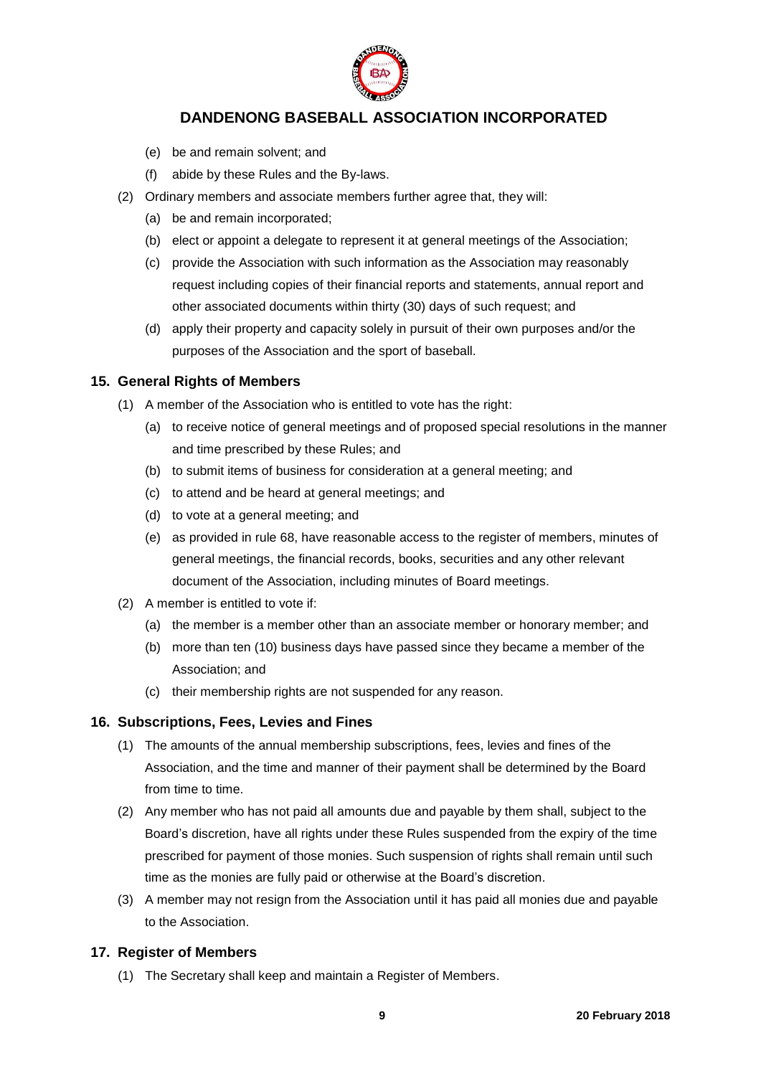

- (e) be and remain solvent; and
- (f) abide by these Rules and the By-laws.
- (2) Ordinary members and associate members further agree that, they will:
	- (a) be and remain incorporated;
	- (b) elect or appoint a delegate to represent it at general meetings of the Association;
	- (c) provide the Association with such information as the Association may reasonably request including copies of their financial reports and statements, annual report and other associated documents within thirty (30) days of such request; and
	- (d) apply their property and capacity solely in pursuit of their own purposes and/or the purposes of the Association and the sport of baseball.

#### <span id="page-8-0"></span>**15. General Rights of Members**

- (1) A member of the Association who is entitled to vote has the right:
	- (a) to receive notice of general meetings and of proposed special resolutions in the manner and time prescribed by these Rules; and
	- (b) to submit items of business for consideration at a general meeting; and
	- (c) to attend and be heard at general meetings; and
	- (d) to vote at a general meeting; and
	- (e) as provided in rule 68, have reasonable access to the register of members, minutes of general meetings, the financial records, books, securities and any other relevant document of the Association, including minutes of Board meetings.
- (2) A member is entitled to vote if:
	- (a) the member is a member other than an associate member or honorary member; and
	- (b) more than ten (10) business days have passed since they became a member of the Association; and
	- (c) their membership rights are not suspended for any reason.

## <span id="page-8-1"></span>**16. Subscriptions, Fees, Levies and Fines**

- (1) The amounts of the annual membership subscriptions, fees, levies and fines of the Association, and the time and manner of their payment shall be determined by the Board from time to time.
- (2) Any member who has not paid all amounts due and payable by them shall, subject to the Board's discretion, have all rights under these Rules suspended from the expiry of the time prescribed for payment of those monies. Such suspension of rights shall remain until such time as the monies are fully paid or otherwise at the Board's discretion.
- (3) A member may not resign from the Association until it has paid all monies due and payable to the Association.

## <span id="page-8-2"></span>**17. Register of Members**

(1) The Secretary shall keep and maintain a Register of Members.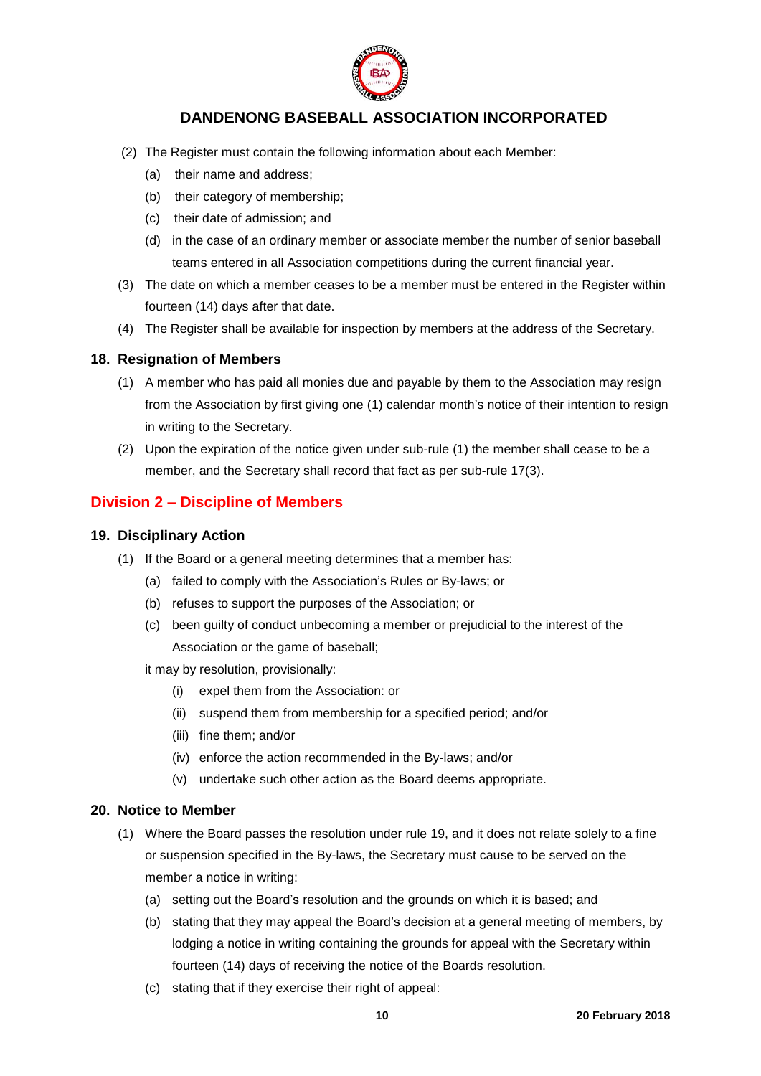

- (2) The Register must contain the following information about each Member:
	- (a) their name and address;
	- (b) their category of membership;
	- (c) their date of admission; and
	- (d) in the case of an ordinary member or associate member the number of senior baseball teams entered in all Association competitions during the current financial year.
- (3) The date on which a member ceases to be a member must be entered in the Register within fourteen (14) days after that date.
- (4) The Register shall be available for inspection by members at the address of the Secretary.

#### <span id="page-9-0"></span>**18. Resignation of Members**

- (1) A member who has paid all monies due and payable by them to the Association may resign from the Association by first giving one (1) calendar month's notice of their intention to resign in writing to the Secretary.
- (2) Upon the expiration of the notice given under sub-rule (1) the member shall cease to be a member, and the Secretary shall record that fact as per sub-rule 17(3).

## <span id="page-9-1"></span>**Division 2 – Discipline of Members**

#### <span id="page-9-2"></span>**19. Disciplinary Action**

- (1) If the Board or a general meeting determines that a member has:
	- (a) failed to comply with the Association's Rules or By-laws; or
	- (b) refuses to support the purposes of the Association; or
	- (c) been guilty of conduct unbecoming a member or prejudicial to the interest of the Association or the game of baseball;

it may by resolution, provisionally:

- (i) expel them from the Association: or
- (ii) suspend them from membership for a specified period; and/or
- (iii) fine them; and/or
- (iv) enforce the action recommended in the By-laws; and/or
- (v) undertake such other action as the Board deems appropriate.

#### <span id="page-9-3"></span>**20. Notice to Member**

- (1) Where the Board passes the resolution under rule 19, and it does not relate solely to a fine or suspension specified in the By-laws, the Secretary must cause to be served on the member a notice in writing:
	- (a) setting out the Board's resolution and the grounds on which it is based; and
	- (b) stating that they may appeal the Board's decision at a general meeting of members, by lodging a notice in writing containing the grounds for appeal with the Secretary within fourteen (14) days of receiving the notice of the Boards resolution.
	- (c) stating that if they exercise their right of appeal: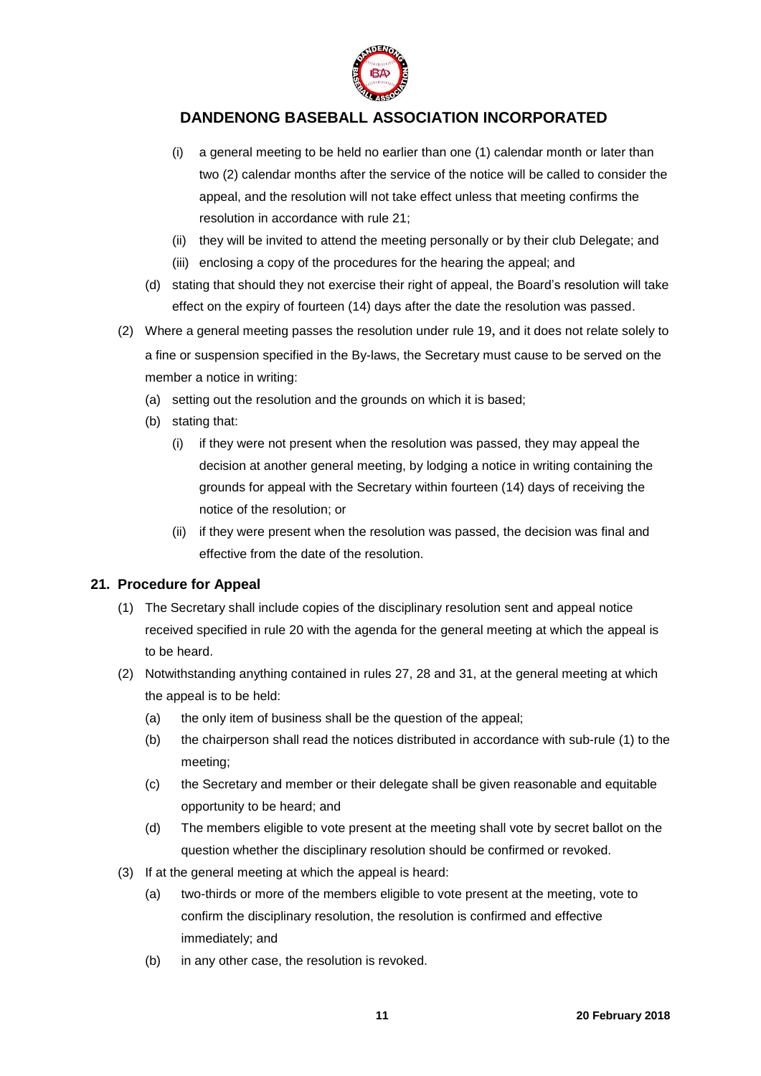

- (i) a general meeting to be held no earlier than one (1) calendar month or later than two (2) calendar months after the service of the notice will be called to consider the appeal, and the resolution will not take effect unless that meeting confirms the resolution in accordance with rule 21;
- (ii) they will be invited to attend the meeting personally or by their club Delegate; and
- (iii) enclosing a copy of the procedures for the hearing the appeal; and
- (d) stating that should they not exercise their right of appeal, the Board's resolution will take effect on the expiry of fourteen (14) days after the date the resolution was passed.
- (2) Where a general meeting passes the resolution under rule 19, and it does not relate solely to a fine or suspension specified in the By-laws, the Secretary must cause to be served on the member a notice in writing:
	- (a) setting out the resolution and the grounds on which it is based;
	- (b) stating that:
		- (i) if they were not present when the resolution was passed, they may appeal the decision at another general meeting, by lodging a notice in writing containing the grounds for appeal with the Secretary within fourteen (14) days of receiving the notice of the resolution; or
		- (ii) if they were present when the resolution was passed, the decision was final and effective from the date of the resolution.

## <span id="page-10-0"></span>**21. Procedure for Appeal**

- (1) The Secretary shall include copies of the disciplinary resolution sent and appeal notice received specified in rule 20 with the agenda for the general meeting at which the appeal is to be heard.
- (2) Notwithstanding anything contained in rules 27, 28 and 31, at the general meeting at which the appeal is to be held:
	- (a) the only item of business shall be the question of the appeal;
	- (b) the chairperson shall read the notices distributed in accordance with sub-rule (1) to the meeting;
	- (c) the Secretary and member or their delegate shall be given reasonable and equitable opportunity to be heard; and
	- (d) The members eligible to vote present at the meeting shall vote by secret ballot on the question whether the disciplinary resolution should be confirmed or revoked.
- (3) If at the general meeting at which the appeal is heard:
	- (a) two-thirds or more of the members eligible to vote present at the meeting, vote to confirm the disciplinary resolution, the resolution is confirmed and effective immediately; and
	- (b) in any other case, the resolution is revoked.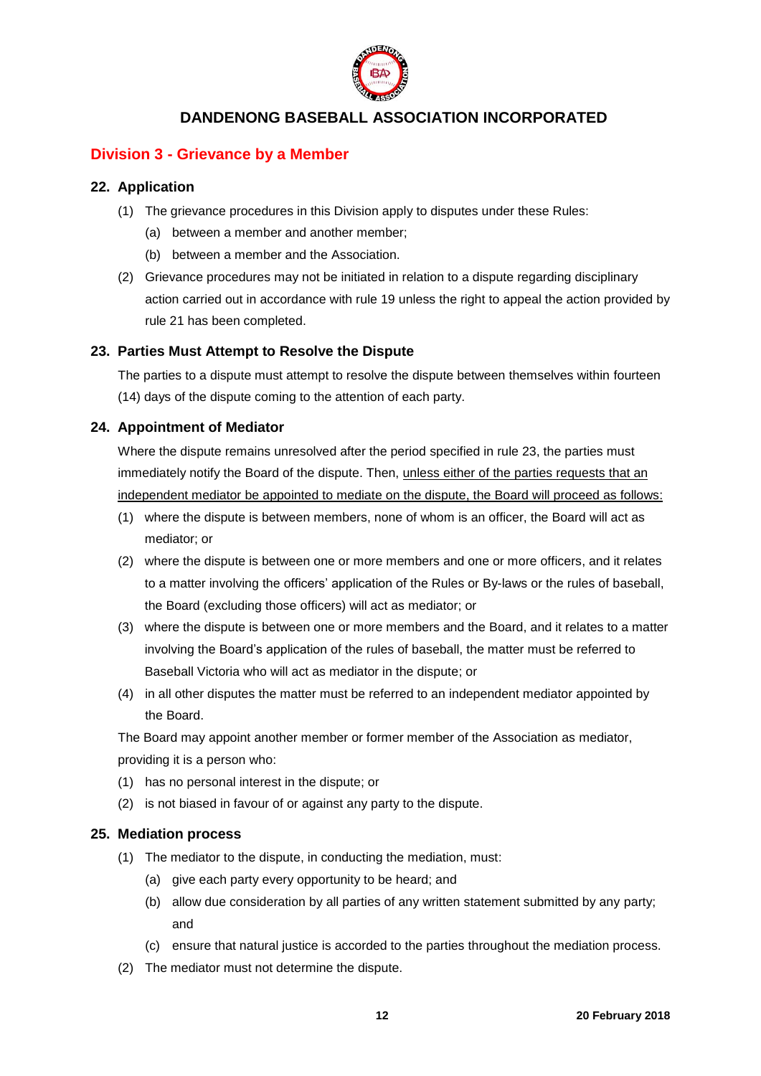

## <span id="page-11-0"></span>**Division 3 - Grievance by a Member**

### <span id="page-11-1"></span>**22. Application**

- (1) The grievance procedures in this Division apply to disputes under these Rules:
	- (a) between a member and another member;
	- (b) between a member and the Association.
- (2) Grievance procedures may not be initiated in relation to a dispute regarding disciplinary action carried out in accordance with rule 19 unless the right to appeal the action provided by rule 21 has been completed.

#### <span id="page-11-2"></span>**23. Parties Must Attempt to Resolve the Dispute**

The parties to a dispute must attempt to resolve the dispute between themselves within fourteen (14) days of the dispute coming to the attention of each party.

#### <span id="page-11-3"></span>**24. Appointment of Mediator**

Where the dispute remains unresolved after the period specified in rule 23, the parties must immediately notify the Board of the dispute. Then, unless either of the parties requests that an independent mediator be appointed to mediate on the dispute, the Board will proceed as follows:

- (1) where the dispute is between members, none of whom is an officer, the Board will act as mediator; or
- (2) where the dispute is between one or more members and one or more officers, and it relates to a matter involving the officers' application of the Rules or By-laws or the rules of baseball, the Board (excluding those officers) will act as mediator; or
- (3) where the dispute is between one or more members and the Board, and it relates to a matter involving the Board's application of the rules of baseball, the matter must be referred to Baseball Victoria who will act as mediator in the dispute; or
- (4) in all other disputes the matter must be referred to an independent mediator appointed by the Board.

The Board may appoint another member or former member of the Association as mediator,

- providing it is a person who:
- (1) has no personal interest in the dispute; or
- (2) is not biased in favour of or against any party to the dispute.

#### <span id="page-11-4"></span>**25. Mediation process**

- (1) The mediator to the dispute, in conducting the mediation, must:
	- (a) give each party every opportunity to be heard; and
	- (b) allow due consideration by all parties of any written statement submitted by any party; and
	- (c) ensure that natural justice is accorded to the parties throughout the mediation process.
- (2) The mediator must not determine the dispute.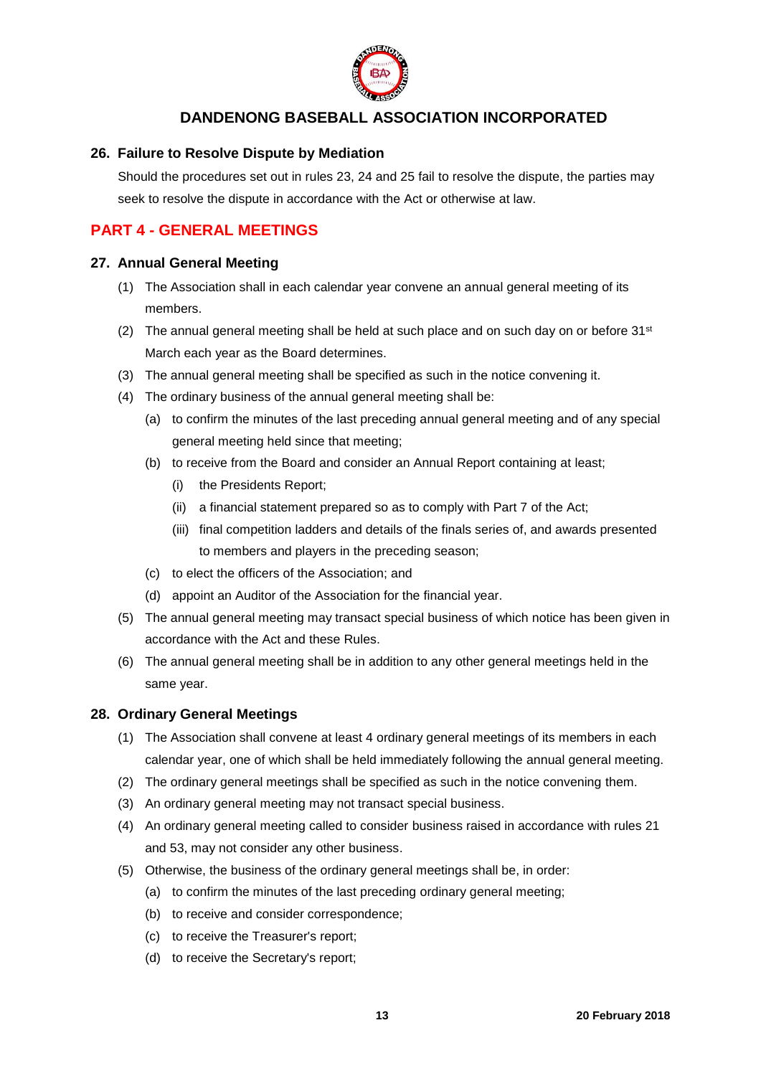

### <span id="page-12-0"></span>**26. Failure to Resolve Dispute by Mediation**

Should the procedures set out in rules 23, 24 and 25 fail to resolve the dispute, the parties may seek to resolve the dispute in accordance with the Act or otherwise at law.

## <span id="page-12-1"></span>**PART 4 - GENERAL MEETINGS**

#### <span id="page-12-2"></span>**27. Annual General Meeting**

- (1) The Association shall in each calendar year convene an annual general meeting of its members.
- (2) The annual general meeting shall be held at such place and on such day on or before  $31<sup>st</sup>$ March each year as the Board determines.
- (3) The annual general meeting shall be specified as such in the notice convening it.
- (4) The ordinary business of the annual general meeting shall be:
	- (a) to confirm the minutes of the last preceding annual general meeting and of any special general meeting held since that meeting;
	- (b) to receive from the Board and consider an Annual Report containing at least;
		- (i) the Presidents Report;
		- (ii) a financial statement prepared so as to comply with Part 7 of the Act;
		- (iii) final competition ladders and details of the finals series of, and awards presented to members and players in the preceding season;
	- (c) to elect the officers of the Association; and
	- (d) appoint an Auditor of the Association for the financial year.
- (5) The annual general meeting may transact special business of which notice has been given in accordance with the Act and these Rules.
- (6) The annual general meeting shall be in addition to any other general meetings held in the same year.

#### <span id="page-12-3"></span>**28. Ordinary General Meetings**

- (1) The Association shall convene at least 4 ordinary general meetings of its members in each calendar year, one of which shall be held immediately following the annual general meeting.
- (2) The ordinary general meetings shall be specified as such in the notice convening them.
- (3) An ordinary general meeting may not transact special business.
- (4) An ordinary general meeting called to consider business raised in accordance with rules 21 and 53, may not consider any other business.
- (5) Otherwise, the business of the ordinary general meetings shall be, in order:
	- (a) to confirm the minutes of the last preceding ordinary general meeting;
	- (b) to receive and consider correspondence;
	- (c) to receive the Treasurer's report;
	- (d) to receive the Secretary's report;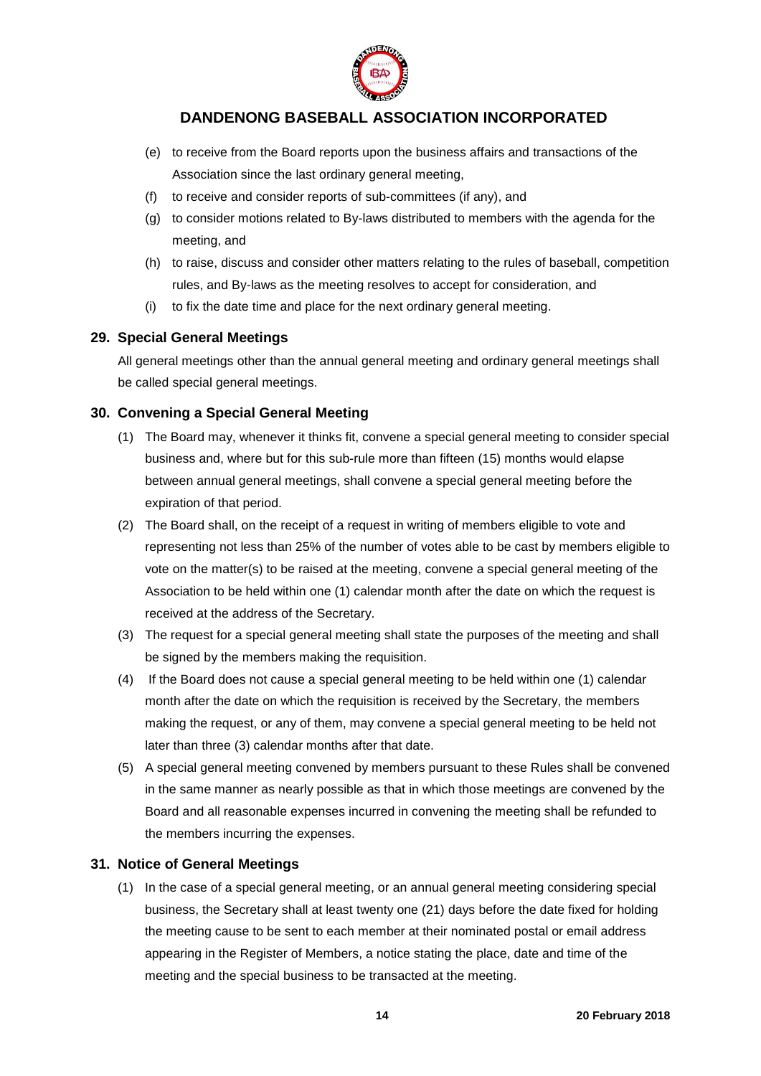

- (e) to receive from the Board reports upon the business affairs and transactions of the Association since the last ordinary general meeting,
- (f) to receive and consider reports of sub-committees (if any), and
- (g) to consider motions related to By-laws distributed to members with the agenda for the meeting, and
- (h) to raise, discuss and consider other matters relating to the rules of baseball, competition rules, and By-laws as the meeting resolves to accept for consideration, and
- (i) to fix the date time and place for the next ordinary general meeting.

#### <span id="page-13-0"></span>**29. Special General Meetings**

All general meetings other than the annual general meeting and ordinary general meetings shall be called special general meetings.

## <span id="page-13-1"></span>**30. Convening a Special General Meeting**

- (1) The Board may, whenever it thinks fit, convene a special general meeting to consider special business and, where but for this sub-rule more than fifteen (15) months would elapse between annual general meetings, shall convene a special general meeting before the expiration of that period.
- (2) The Board shall, on the receipt of a request in writing of members eligible to vote and representing not less than 25% of the number of votes able to be cast by members eligible to vote on the matter(s) to be raised at the meeting, convene a special general meeting of the Association to be held within one (1) calendar month after the date on which the request is received at the address of the Secretary.
- (3) The request for a special general meeting shall state the purposes of the meeting and shall be signed by the members making the requisition.
- (4) If the Board does not cause a special general meeting to be held within one (1) calendar month after the date on which the requisition is received by the Secretary, the members making the request, or any of them, may convene a special general meeting to be held not later than three (3) calendar months after that date.
- (5) A special general meeting convened by members pursuant to these Rules shall be convened in the same manner as nearly possible as that in which those meetings are convened by the Board and all reasonable expenses incurred in convening the meeting shall be refunded to the members incurring the expenses.

## <span id="page-13-2"></span>**31. Notice of General Meetings**

(1) In the case of a special general meeting, or an annual general meeting considering special business, the Secretary shall at least twenty one (21) days before the date fixed for holding the meeting cause to be sent to each member at their nominated postal or email address appearing in the Register of Members, a notice stating the place, date and time of the meeting and the special business to be transacted at the meeting.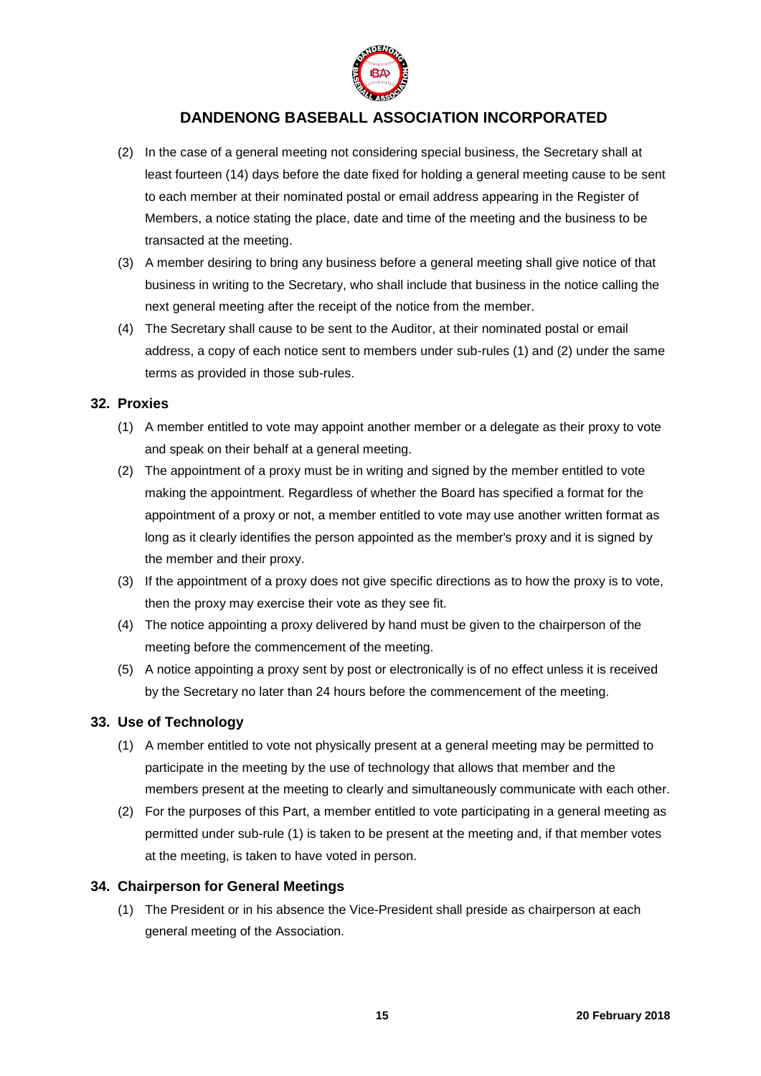

- (2) In the case of a general meeting not considering special business, the Secretary shall at least fourteen (14) days before the date fixed for holding a general meeting cause to be sent to each member at their nominated postal or email address appearing in the Register of Members, a notice stating the place, date and time of the meeting and the business to be transacted at the meeting.
- (3) A member desiring to bring any business before a general meeting shall give notice of that business in writing to the Secretary, who shall include that business in the notice calling the next general meeting after the receipt of the notice from the member.
- (4) The Secretary shall cause to be sent to the Auditor, at their nominated postal or email address, a copy of each notice sent to members under sub-rules (1) and (2) under the same terms as provided in those sub-rules.

#### <span id="page-14-0"></span>**32. Proxies**

- (1) A member entitled to vote may appoint another member or a delegate as their proxy to vote and speak on their behalf at a general meeting.
- (2) The appointment of a proxy must be in writing and signed by the member entitled to vote making the appointment. Regardless of whether the Board has specified a format for the appointment of a proxy or not, a member entitled to vote may use another written format as long as it clearly identifies the person appointed as the member's proxy and it is signed by the member and their proxy.
- (3) If the appointment of a proxy does not give specific directions as to how the proxy is to vote, then the proxy may exercise their vote as they see fit.
- (4) The notice appointing a proxy delivered by hand must be given to the chairperson of the meeting before the commencement of the meeting.
- (5) A notice appointing a proxy sent by post or electronically is of no effect unless it is received by the Secretary no later than 24 hours before the commencement of the meeting.

## <span id="page-14-1"></span>**33. Use of Technology**

- (1) A member entitled to vote not physically present at a general meeting may be permitted to participate in the meeting by the use of technology that allows that member and the members present at the meeting to clearly and simultaneously communicate with each other.
- (2) For the purposes of this Part, a member entitled to vote participating in a general meeting as permitted under sub-rule (1) is taken to be present at the meeting and, if that member votes at the meeting, is taken to have voted in person.

## <span id="page-14-2"></span>**34. Chairperson for General Meetings**

(1) The President or in his absence the Vice-President shall preside as chairperson at each general meeting of the Association.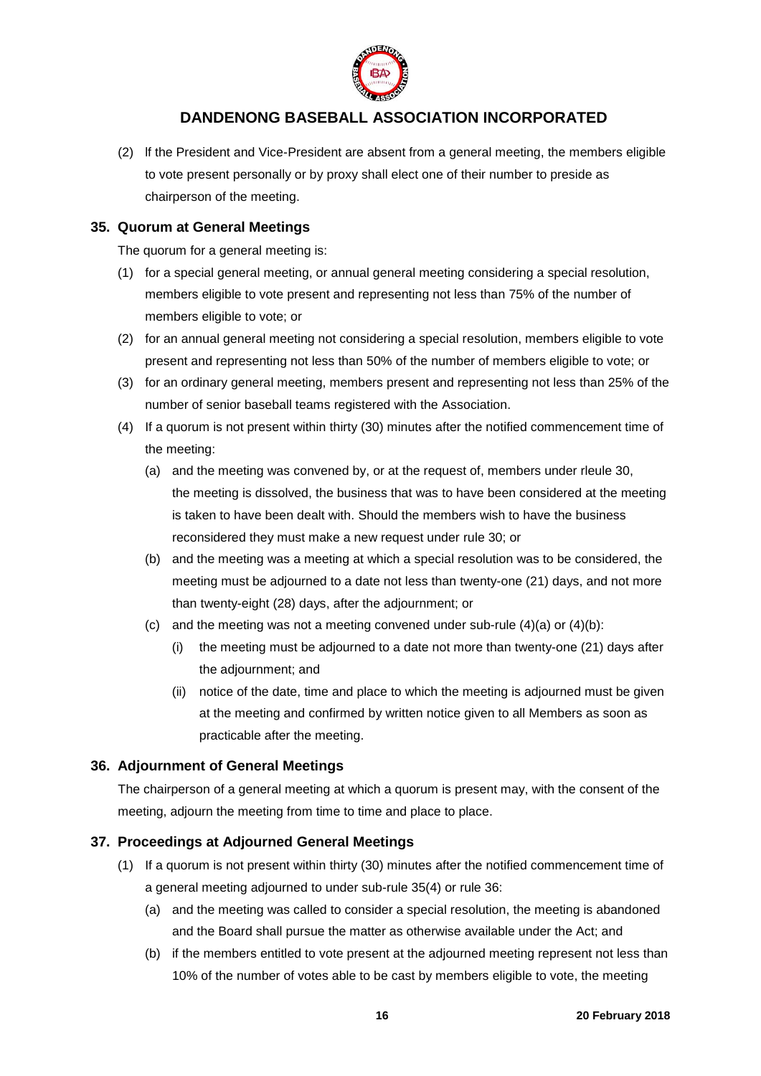

(2) lf the President and Vice-President are absent from a general meeting, the members eligible to vote present personally or by proxy shall elect one of their number to preside as chairperson of the meeting.

### <span id="page-15-0"></span>**35. Quorum at General Meetings**

The quorum for a general meeting is:

- (1) for a special general meeting, or annual general meeting considering a special resolution, members eligible to vote present and representing not less than 75% of the number of members eligible to vote; or
- (2) for an annual general meeting not considering a special resolution, members eligible to vote present and representing not less than 50% of the number of members eligible to vote; or
- (3) for an ordinary general meeting, members present and representing not less than 25% of the number of senior baseball teams registered with the Association.
- (4) If a quorum is not present within thirty (30) minutes after the notified commencement time of the meeting:
	- (a) and the meeting was convened by, or at the request of, members under rleule 30, the meeting is dissolved, the business that was to have been considered at the meeting is taken to have been dealt with. Should the members wish to have the business reconsidered they must make a new request under rule 30; or
	- (b) and the meeting was a meeting at which a special resolution was to be considered, the meeting must be adjourned to a date not less than twenty-one (21) days, and not more than twenty-eight (28) days, after the adjournment; or
	- (c) and the meeting was not a meeting convened under sub-rule  $(4)(a)$  or  $(4)(b)$ :
		- (i) the meeting must be adjourned to a date not more than twenty-one (21) days after the adjournment; and
		- (ii) notice of the date, time and place to which the meeting is adjourned must be given at the meeting and confirmed by written notice given to all Members as soon as practicable after the meeting.

## <span id="page-15-1"></span>**36. Adjournment of General Meetings**

The chairperson of a general meeting at which a quorum is present may, with the consent of the meeting, adjourn the meeting from time to time and place to place.

## <span id="page-15-2"></span>**37. Proceedings at Adjourned General Meetings**

- (1) If a quorum is not present within thirty (30) minutes after the notified commencement time of a general meeting adjourned to under sub-rule 35(4) or rule 36:
	- (a) and the meeting was called to consider a special resolution, the meeting is abandoned and the Board shall pursue the matter as otherwise available under the Act; and
	- (b) if the members entitled to vote present at the adjourned meeting represent not less than 10% of the number of votes able to be cast by members eligible to vote, the meeting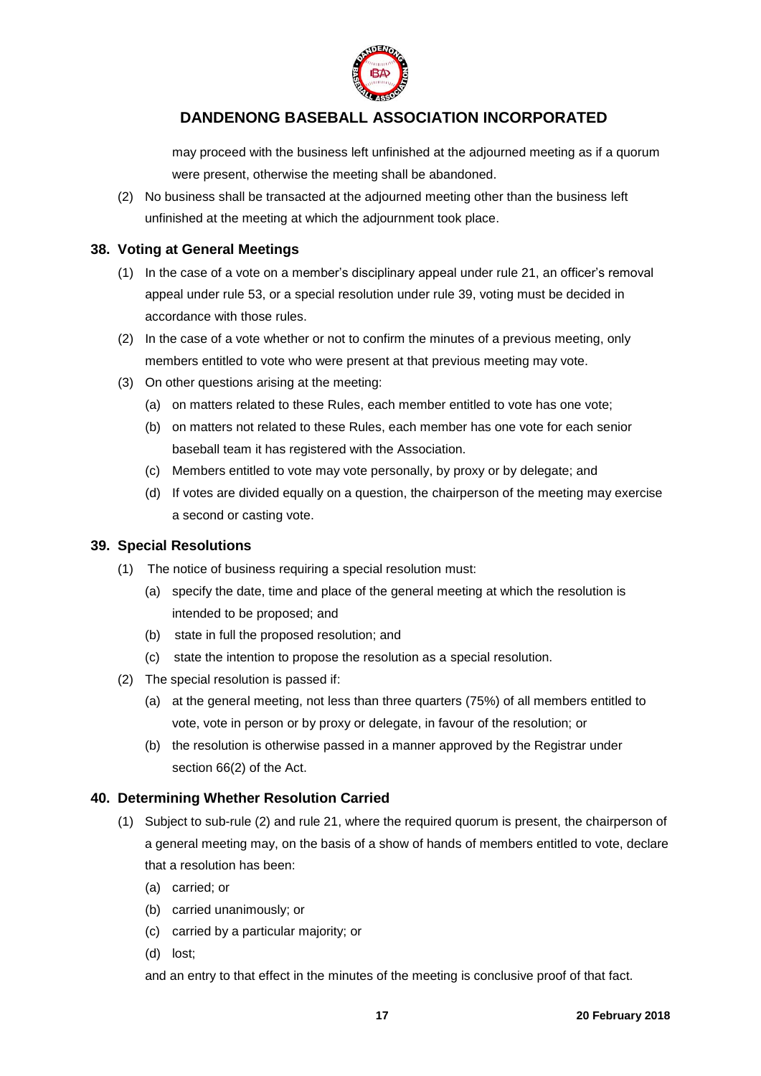

may proceed with the business left unfinished at the adjourned meeting as if a quorum were present, otherwise the meeting shall be abandoned.

(2) No business shall be transacted at the adjourned meeting other than the business left unfinished at the meeting at which the adjournment took place.

#### <span id="page-16-0"></span>**38. Voting at General Meetings**

- (1) In the case of a vote on a member's disciplinary appeal under rule 21, an officer's removal appeal under rule 53, or a special resolution under rule 39, voting must be decided in accordance with those rules.
- (2) In the case of a vote whether or not to confirm the minutes of a previous meeting, only members entitled to vote who were present at that previous meeting may vote.
- (3) On other questions arising at the meeting:
	- (a) on matters related to these Rules, each member entitled to vote has one vote;
	- (b) on matters not related to these Rules, each member has one vote for each senior baseball team it has registered with the Association.
	- (c) Members entitled to vote may vote personally, by proxy or by delegate; and
	- (d) If votes are divided equally on a question, the chairperson of the meeting may exercise a second or casting vote.

### <span id="page-16-1"></span>**39. Special Resolutions**

- (1) The notice of business requiring a special resolution must:
	- (a) specify the date, time and place of the general meeting at which the resolution is intended to be proposed; and
	- (b) state in full the proposed resolution; and
	- (c) state the intention to propose the resolution as a special resolution.
- (2) The special resolution is passed if:
	- (a) at the general meeting, not less than three quarters (75%) of all members entitled to vote, vote in person or by proxy or delegate, in favour of the resolution; or
	- (b) the resolution is otherwise passed in a manner approved by the Registrar under section 66(2) of the Act.

## <span id="page-16-2"></span>**40. Determining Whether Resolution Carried**

- (1) Subject to sub-rule (2) and rule 21, where the required quorum is present, the chairperson of a general meeting may, on the basis of a show of hands of members entitled to vote, declare that a resolution has been:
	- (a) carried; or
	- (b) carried unanimously; or
	- (c) carried by a particular majority; or
	- (d) lost;

and an entry to that effect in the minutes of the meeting is conclusive proof of that fact.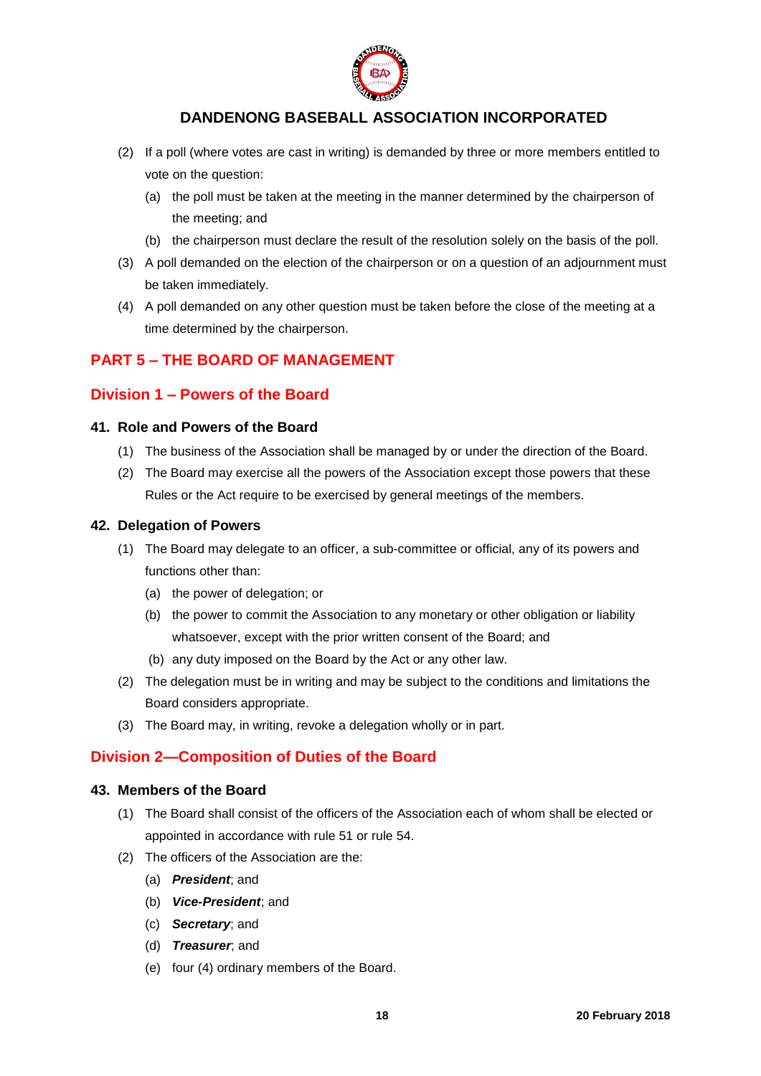

- (2) If a poll (where votes are cast in writing) is demanded by three or more members entitled to vote on the question:
	- (a) the poll must be taken at the meeting in the manner determined by the chairperson of the meeting; and
	- (b) the chairperson must declare the result of the resolution solely on the basis of the poll.
- (3) A poll demanded on the election of the chairperson or on a question of an adjournment must be taken immediately.
- (4) A poll demanded on any other question must be taken before the close of the meeting at a time determined by the chairperson.

## <span id="page-17-0"></span>**PART 5 – THE BOARD OF MANAGEMENT**

## <span id="page-17-1"></span>**Division 1 – Powers of the Board**

#### <span id="page-17-2"></span>**41. Role and Powers of the Board**

- (1) The business of the Association shall be managed by or under the direction of the Board.
- (2) The Board may exercise all the powers of the Association except those powers that these Rules or the Act require to be exercised by general meetings of the members.

#### <span id="page-17-3"></span>**42. Delegation of Powers**

- (1) The Board may delegate to an officer, a sub-committee or official, any of its powers and functions other than:
	- (a) the power of delegation; or
	- (b) the power to commit the Association to any monetary or other obligation or liability whatsoever, except with the prior written consent of the Board; and
	- (b) any duty imposed on the Board by the Act or any other law.
- (2) The delegation must be in writing and may be subject to the conditions and limitations the Board considers appropriate.
- (3) The Board may, in writing, revoke a delegation wholly or in part.

## <span id="page-17-4"></span>**Division 2—Composition of Duties of the Board**

#### <span id="page-17-5"></span>**43. Members of the Board**

- (1) The Board shall consist of the officers of the Association each of whom shall be elected or appointed in accordance with rule 51 or rule 54.
- (2) The officers of the Association are the:
	- (a) *President*; and
	- (b) *Vice-President*; and
	- (c) *Secretary*; and
	- (d) *Treasurer*; and
	- (e) four (4) ordinary members of the Board.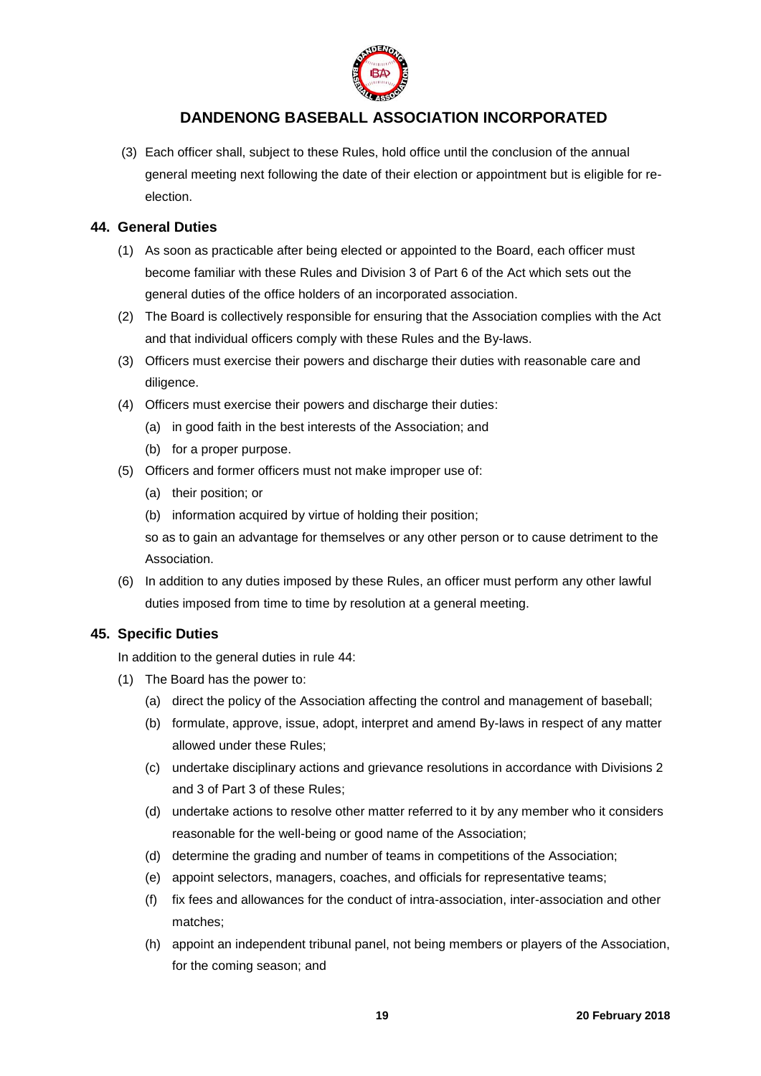

(3) Each officer shall, subject to these Rules, hold office until the conclusion of the annual general meeting next following the date of their election or appointment but is eligible for reelection.

## <span id="page-18-0"></span>**44. General Duties**

- (1) As soon as practicable after being elected or appointed to the Board, each officer must become familiar with these Rules and Division 3 of Part 6 of the Act which sets out the general duties of the office holders of an incorporated association.
- (2) The Board is collectively responsible for ensuring that the Association complies with the Act and that individual officers comply with these Rules and the By-laws.
- (3) Officers must exercise their powers and discharge their duties with reasonable care and diligence.
- (4) Officers must exercise their powers and discharge their duties:
	- (a) in good faith in the best interests of the Association; and
	- (b) for a proper purpose.
- (5) Officers and former officers must not make improper use of:
	- (a) their position; or
	- (b) information acquired by virtue of holding their position;

so as to gain an advantage for themselves or any other person or to cause detriment to the Association.

(6) In addition to any duties imposed by these Rules, an officer must perform any other lawful duties imposed from time to time by resolution at a general meeting.

## <span id="page-18-1"></span>**45. Specific Duties**

In addition to the general duties in rule 44:

- (1) The Board has the power to:
	- (a) direct the policy of the Association affecting the control and management of baseball;
	- (b) formulate, approve, issue, adopt, interpret and amend By-laws in respect of any matter allowed under these Rules;
	- (c) undertake disciplinary actions and grievance resolutions in accordance with Divisions 2 and 3 of Part 3 of these Rules;
	- (d) undertake actions to resolve other matter referred to it by any member who it considers reasonable for the well-being or good name of the Association;
	- (d) determine the grading and number of teams in competitions of the Association;
	- (e) appoint selectors, managers, coaches, and officials for representative teams;
	- (f) fix fees and allowances for the conduct of intra-association, inter-association and other matches;
	- (h) appoint an independent tribunal panel, not being members or players of the Association, for the coming season; and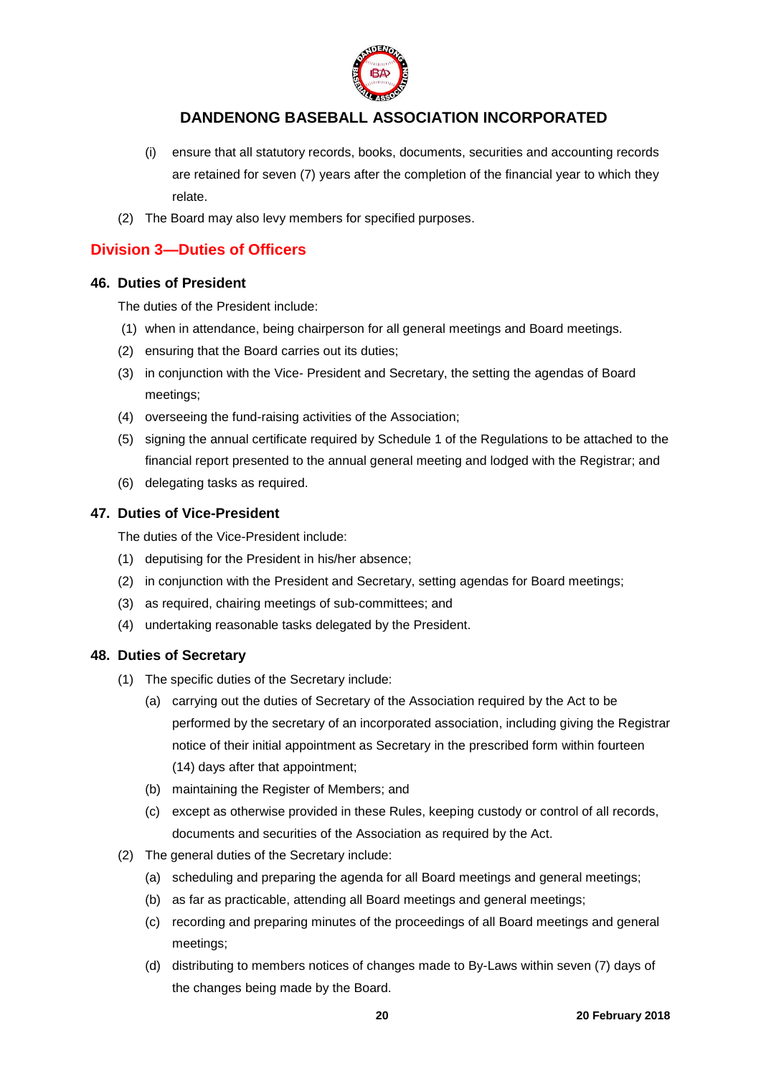

- (i) ensure that all statutory records, books, documents, securities and accounting records are retained for seven (7) years after the completion of the financial year to which they relate.
- (2) The Board may also levy members for specified purposes.

## <span id="page-19-0"></span>**Division 3—Duties of Officers**

## <span id="page-19-1"></span>**46. Duties of President**

The duties of the President include:

- (1) when in attendance, being chairperson for all general meetings and Board meetings.
- (2) ensuring that the Board carries out its duties;
- (3) in conjunction with the Vice- President and Secretary, the setting the agendas of Board meetings;
- (4) overseeing the fund-raising activities of the Association;
- (5) signing the annual certificate required by Schedule 1 of the Regulations to be attached to the financial report presented to the annual general meeting and lodged with the Registrar; and
- (6) delegating tasks as required.

## <span id="page-19-2"></span>**47. Duties of Vice-President**

The duties of the Vice-President include:

- (1) deputising for the President in his/her absence;
- (2) in conjunction with the President and Secretary, setting agendas for Board meetings;
- (3) as required, chairing meetings of sub-committees; and
- (4) undertaking reasonable tasks delegated by the President.

## <span id="page-19-3"></span>**48. Duties of Secretary**

- (1) The specific duties of the Secretary include:
	- (a) carrying out the duties of Secretary of the Association required by the Act to be performed by the secretary of an incorporated association, including giving the Registrar notice of their initial appointment as Secretary in the prescribed form within fourteen (14) days after that appointment;
	- (b) maintaining the Register of Members; and
	- (c) except as otherwise provided in these Rules, keeping custody or control of all records, documents and securities of the Association as required by the Act.
- (2) The general duties of the Secretary include:
	- (a) scheduling and preparing the agenda for all Board meetings and general meetings;
	- (b) as far as practicable, attending all Board meetings and general meetings;
	- (c) recording and preparing minutes of the proceedings of all Board meetings and general meetings;
	- (d) distributing to members notices of changes made to By-Laws within seven (7) days of the changes being made by the Board.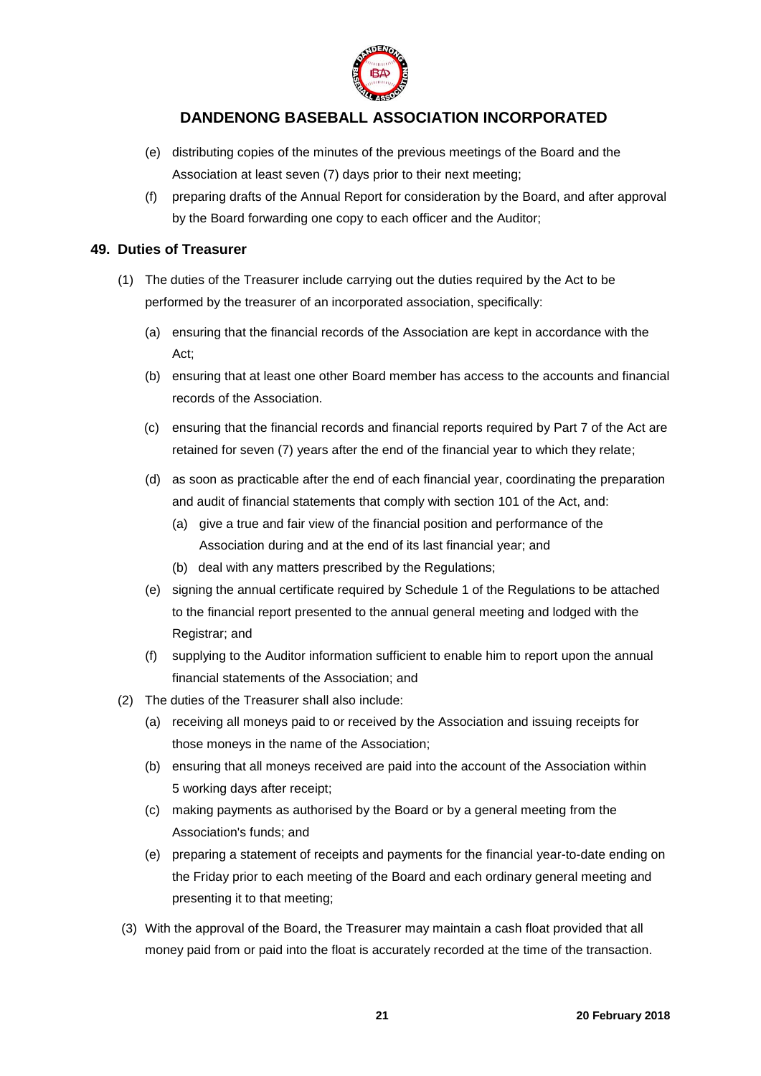

- (e) distributing copies of the minutes of the previous meetings of the Board and the Association at least seven (7) days prior to their next meeting;
- (f) preparing drafts of the Annual Report for consideration by the Board, and after approval by the Board forwarding one copy to each officer and the Auditor;

### <span id="page-20-0"></span>**49. Duties of Treasurer**

- (1) The duties of the Treasurer include carrying out the duties required by the Act to be performed by the treasurer of an incorporated association, specifically:
	- (a) ensuring that the financial records of the Association are kept in accordance with the Act;
	- (b) ensuring that at least one other Board member has access to the accounts and financial records of the Association.
	- (c) ensuring that the financial records and financial reports required by Part 7 of the Act are retained for seven (7) years after the end of the financial year to which they relate;
	- (d) as soon as practicable after the end of each financial year, coordinating the preparation and audit of financial statements that comply with section 101 of the Act, and:
		- (a) give a true and fair view of the financial position and performance of the Association during and at the end of its last financial year; and
		- (b) deal with any matters prescribed by the Regulations;
	- (e) signing the annual certificate required by Schedule 1 of the Regulations to be attached to the financial report presented to the annual general meeting and lodged with the Registrar; and
	- (f) supplying to the Auditor information sufficient to enable him to report upon the annual financial statements of the Association; and
- (2) The duties of the Treasurer shall also include:
	- (a) receiving all moneys paid to or received by the Association and issuing receipts for those moneys in the name of the Association;
	- (b) ensuring that all moneys received are paid into the account of the Association within 5 working days after receipt;
	- (c) making payments as authorised by the Board or by a general meeting from the Association's funds; and
	- (e) preparing a statement of receipts and payments for the financial year-to-date ending on the Friday prior to each meeting of the Board and each ordinary general meeting and presenting it to that meeting;
- (3) With the approval of the Board, the Treasurer may maintain a cash float provided that all money paid from or paid into the float is accurately recorded at the time of the transaction.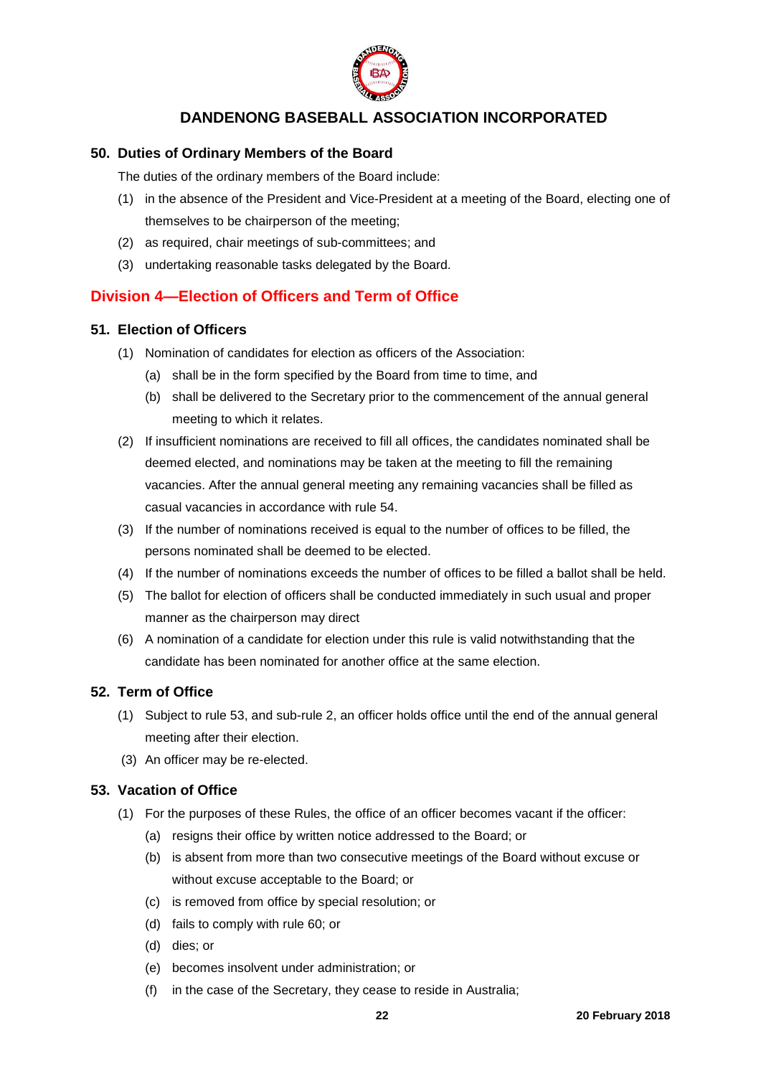

### <span id="page-21-0"></span>**50. Duties of Ordinary Members of the Board**

The duties of the ordinary members of the Board include:

- (1) in the absence of the President and Vice-President at a meeting of the Board, electing one of themselves to be chairperson of the meeting;
- (2) as required, chair meetings of sub-committees; and
- (3) undertaking reasonable tasks delegated by the Board.

## <span id="page-21-1"></span>**Division 4—Election of Officers and Term of Office**

#### <span id="page-21-2"></span>**51. Election of Officers**

- (1) Nomination of candidates for election as officers of the Association:
	- (a) shall be in the form specified by the Board from time to time, and
	- (b) shall be delivered to the Secretary prior to the commencement of the annual general meeting to which it relates.
- (2) If insufficient nominations are received to fill all offices, the candidates nominated shall be deemed elected, and nominations may be taken at the meeting to fill the remaining vacancies. After the annual general meeting any remaining vacancies shall be filled as casual vacancies in accordance with rule 54.
- (3) If the number of nominations received is equal to the number of offices to be filled, the persons nominated shall be deemed to be elected.
- (4) If the number of nominations exceeds the number of offices to be filled a ballot shall be held.
- (5) The ballot for election of officers shall be conducted immediately in such usual and proper manner as the chairperson may direct
- (6) A nomination of a candidate for election under this rule is valid notwithstanding that the candidate has been nominated for another office at the same election.

## <span id="page-21-3"></span>**52. Term of Office**

- (1) Subject to rule 53, and sub-rule 2, an officer holds office until the end of the annual general meeting after their election.
- (3) An officer may be re-elected.

#### <span id="page-21-4"></span>**53. Vacation of Office**

- (1) For the purposes of these Rules, the office of an officer becomes vacant if the officer:
	- (a) resigns their office by written notice addressed to the Board; or
	- (b) is absent from more than two consecutive meetings of the Board without excuse or without excuse acceptable to the Board; or
	- (c) is removed from office by special resolution; or
	- (d) fails to comply with rule 60; or
	- (d) dies; or
	- (e) becomes insolvent under administration; or
	- (f) in the case of the Secretary, they cease to reside in Australia;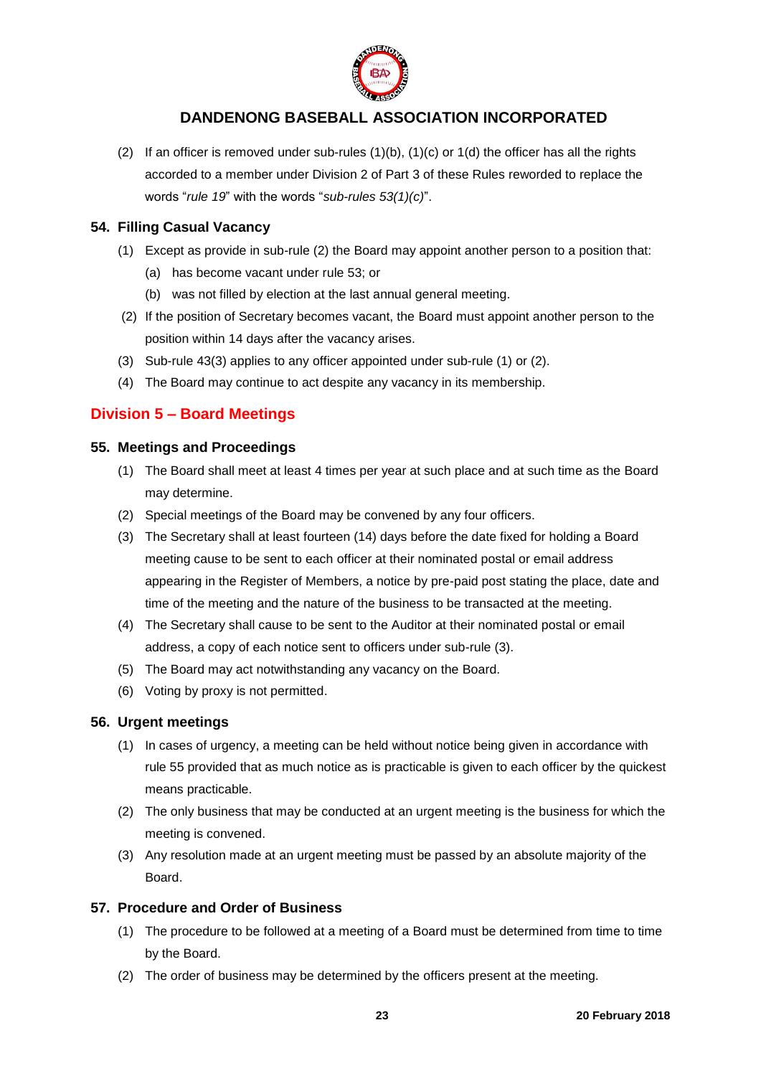

(2) If an officer is removed under sub-rules  $(1)(b)$ ,  $(1)(c)$  or  $1(d)$  the officer has all the rights accorded to a member under Division 2 of Part 3 of these Rules reworded to replace the words "*rule 19*" with the words "*sub-rules 53(1)(c)*".

## <span id="page-22-0"></span>**54. Filling Casual Vacancy**

- (1) Except as provide in sub-rule (2) the Board may appoint another person to a position that:
	- (a) has become vacant under rule 53; or
	- (b) was not filled by election at the last annual general meeting.
- (2) If the position of Secretary becomes vacant, the Board must appoint another person to the position within 14 days after the vacancy arises.
- (3) Sub-rule 43(3) applies to any officer appointed under sub-rule (1) or (2).
- (4) The Board may continue to act despite any vacancy in its membership.

## <span id="page-22-1"></span>**Division 5 – Board Meetings**

#### <span id="page-22-2"></span>**55. Meetings and Proceedings**

- (1) The Board shall meet at least 4 times per year at such place and at such time as the Board may determine.
- (2) Special meetings of the Board may be convened by any four officers.
- (3) The Secretary shall at least fourteen (14) days before the date fixed for holding a Board meeting cause to be sent to each officer at their nominated postal or email address appearing in the Register of Members, a notice by pre-paid post stating the place, date and time of the meeting and the nature of the business to be transacted at the meeting.
- (4) The Secretary shall cause to be sent to the Auditor at their nominated postal or email address, a copy of each notice sent to officers under sub-rule (3).
- (5) The Board may act notwithstanding any vacancy on the Board.
- (6) Voting by proxy is not permitted.

## <span id="page-22-3"></span>**56. Urgent meetings**

- (1) In cases of urgency, a meeting can be held without notice being given in accordance with rule 55 provided that as much notice as is practicable is given to each officer by the quickest means practicable.
- (2) The only business that may be conducted at an urgent meeting is the business for which the meeting is convened.
- (3) Any resolution made at an urgent meeting must be passed by an absolute majority of the Board.

## <span id="page-22-4"></span>**57. Procedure and Order of Business**

- (1) The procedure to be followed at a meeting of a Board must be determined from time to time by the Board.
- (2) The order of business may be determined by the officers present at the meeting.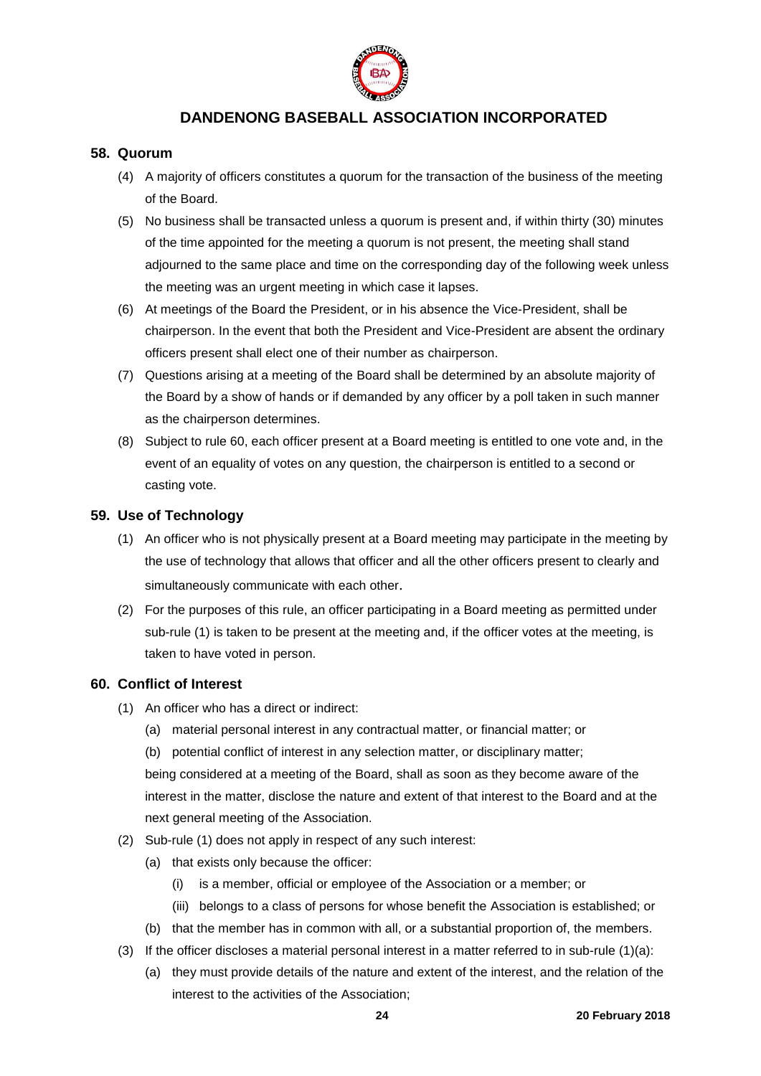

#### <span id="page-23-0"></span>**58. Quorum**

- (4) A majority of officers constitutes a quorum for the transaction of the business of the meeting of the Board.
- (5) No business shall be transacted unless a quorum is present and, if within thirty (30) minutes of the time appointed for the meeting a quorum is not present, the meeting shall stand adjourned to the same place and time on the corresponding day of the following week unless the meeting was an urgent meeting in which case it lapses.
- (6) At meetings of the Board the President, or in his absence the Vice-President, shall be chairperson. In the event that both the President and Vice-President are absent the ordinary officers present shall elect one of their number as chairperson.
- (7) Questions arising at a meeting of the Board shall be determined by an absolute majority of the Board by a show of hands or if demanded by any officer by a poll taken in such manner as the chairperson determines.
- (8) Subject to rule 60, each officer present at a Board meeting is entitled to one vote and, in the event of an equality of votes on any question, the chairperson is entitled to a second or casting vote.

#### <span id="page-23-1"></span>**59. Use of Technology**

- (1) An officer who is not physically present at a Board meeting may participate in the meeting by the use of technology that allows that officer and all the other officers present to clearly and simultaneously communicate with each other.
- (2) For the purposes of this rule, an officer participating in a Board meeting as permitted under sub-rule (1) is taken to be present at the meeting and, if the officer votes at the meeting, is taken to have voted in person.

#### <span id="page-23-2"></span>**60. Conflict of Interest**

- (1) An officer who has a direct or indirect:
	- (a) material personal interest in any contractual matter, or financial matter; or
	- (b) potential conflict of interest in any selection matter, or disciplinary matter;

being considered at a meeting of the Board, shall as soon as they become aware of the interest in the matter, disclose the nature and extent of that interest to the Board and at the next general meeting of the Association.

- (2) Sub-rule (1) does not apply in respect of any such interest:
	- (a) that exists only because the officer:
		- (i) is a member, official or employee of the Association or a member; or
		- (iii) belongs to a class of persons for whose benefit the Association is established; or
	- (b) that the member has in common with all, or a substantial proportion of, the members.
- (3) If the officer discloses a material personal interest in a matter referred to in sub-rule  $(1)(a)$ :
	- (a) they must provide details of the nature and extent of the interest, and the relation of the interest to the activities of the Association;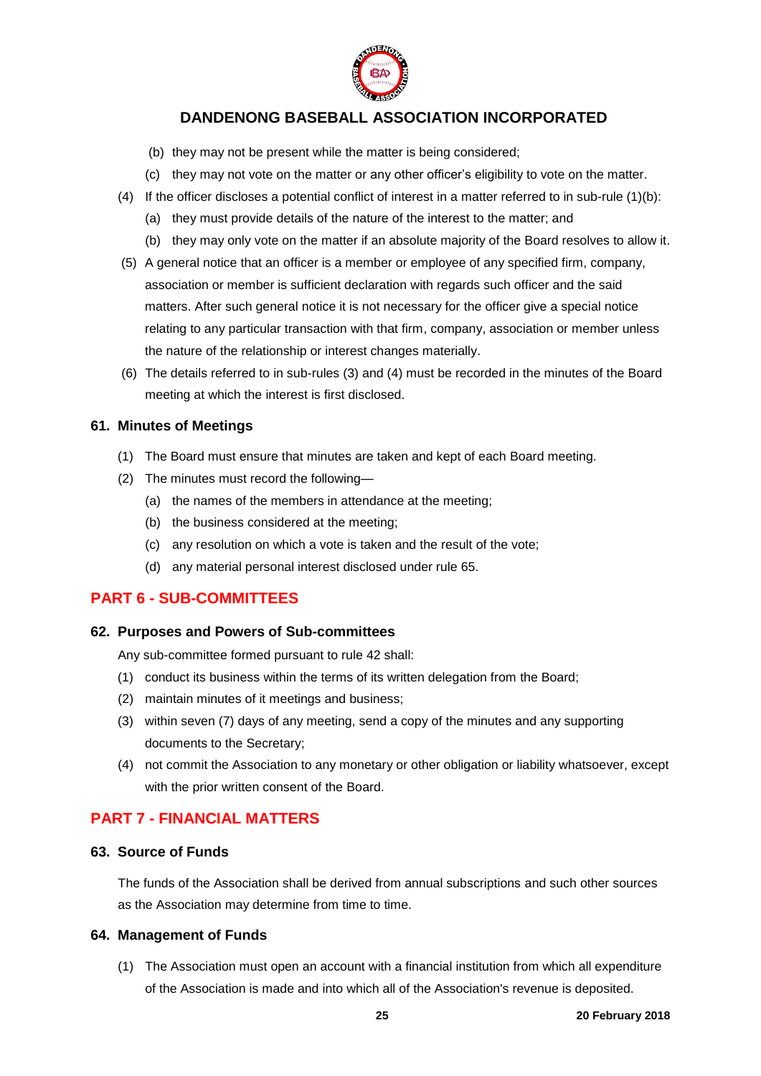

- (b) they may not be present while the matter is being considered;
- (c) they may not vote on the matter or any other officer's eligibility to vote on the matter.
- (4) If the officer discloses a potential conflict of interest in a matter referred to in sub-rule (1)(b):
	- (a) they must provide details of the nature of the interest to the matter; and
	- (b) they may only vote on the matter if an absolute majority of the Board resolves to allow it.
- (5) A general notice that an officer is a member or employee of any specified firm, company, association or member is sufficient declaration with regards such officer and the said matters. After such general notice it is not necessary for the officer give a special notice relating to any particular transaction with that firm, company, association or member unless the nature of the relationship or interest changes materially.
- (6) The details referred to in sub-rules (3) and (4) must be recorded in the minutes of the Board meeting at which the interest is first disclosed.

#### <span id="page-24-0"></span>**61. Minutes of Meetings**

- (1) The Board must ensure that minutes are taken and kept of each Board meeting.
- (2) The minutes must record the following—
	- (a) the names of the members in attendance at the meeting;
	- (b) the business considered at the meeting;
	- (c) any resolution on which a vote is taken and the result of the vote;
	- (d) any material personal interest disclosed under rule 65.

## <span id="page-24-1"></span>**PART 6 - SUB-COMMITTEES**

#### <span id="page-24-2"></span>**62. Purposes and Powers of Sub-committees**

Any sub-committee formed pursuant to rule 42 shall:

- (1) conduct its business within the terms of its written delegation from the Board;
- (2) maintain minutes of it meetings and business;
- (3) within seven (7) days of any meeting, send a copy of the minutes and any supporting documents to the Secretary;
- (4) not commit the Association to any monetary or other obligation or liability whatsoever, except with the prior written consent of the Board.

## <span id="page-24-3"></span>**PART 7 - FINANCIAL MATTERS**

#### <span id="page-24-4"></span>**63. Source of Funds**

The funds of the Association shall be derived from annual subscriptions and such other sources as the Association may determine from time to time.

## <span id="page-24-5"></span>**64. Management of Funds**

(1) The Association must open an account with a financial institution from which all expenditure of the Association is made and into which all of the Association's revenue is deposited.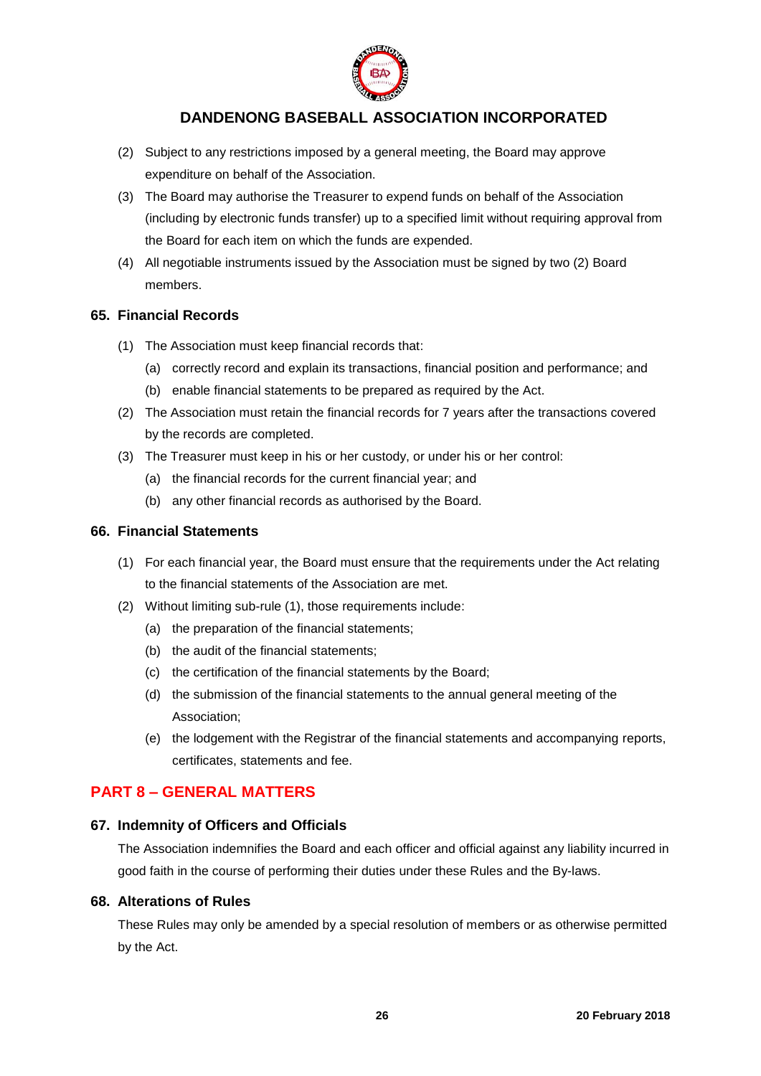

- (2) Subject to any restrictions imposed by a general meeting, the Board may approve expenditure on behalf of the Association.
- (3) The Board may authorise the Treasurer to expend funds on behalf of the Association (including by electronic funds transfer) up to a specified limit without requiring approval from the Board for each item on which the funds are expended.
- (4) All negotiable instruments issued by the Association must be signed by two (2) Board members.

#### <span id="page-25-0"></span>**65. Financial Records**

- (1) The Association must keep financial records that:
	- (a) correctly record and explain its transactions, financial position and performance; and
	- (b) enable financial statements to be prepared as required by the Act.
- (2) The Association must retain the financial records for 7 years after the transactions covered by the records are completed.
- (3) The Treasurer must keep in his or her custody, or under his or her control:
	- (a) the financial records for the current financial year; and
	- (b) any other financial records as authorised by the Board.

#### <span id="page-25-1"></span>**66. Financial Statements**

- (1) For each financial year, the Board must ensure that the requirements under the Act relating to the financial statements of the Association are met.
- (2) Without limiting sub-rule (1), those requirements include:
	- (a) the preparation of the financial statements;
	- (b) the audit of the financial statements;
	- (c) the certification of the financial statements by the Board;
	- (d) the submission of the financial statements to the annual general meeting of the Association;
	- (e) the lodgement with the Registrar of the financial statements and accompanying reports, certificates, statements and fee.

## <span id="page-25-2"></span>**PART 8 – GENERAL MATTERS**

#### <span id="page-25-3"></span>**67. Indemnity of Officers and Officials**

The Association indemnifies the Board and each officer and official against any liability incurred in good faith in the course of performing their duties under these Rules and the By-laws.

### <span id="page-25-4"></span>**68. Alterations of Rules**

These Rules may only be amended by a special resolution of members or as otherwise permitted by the Act.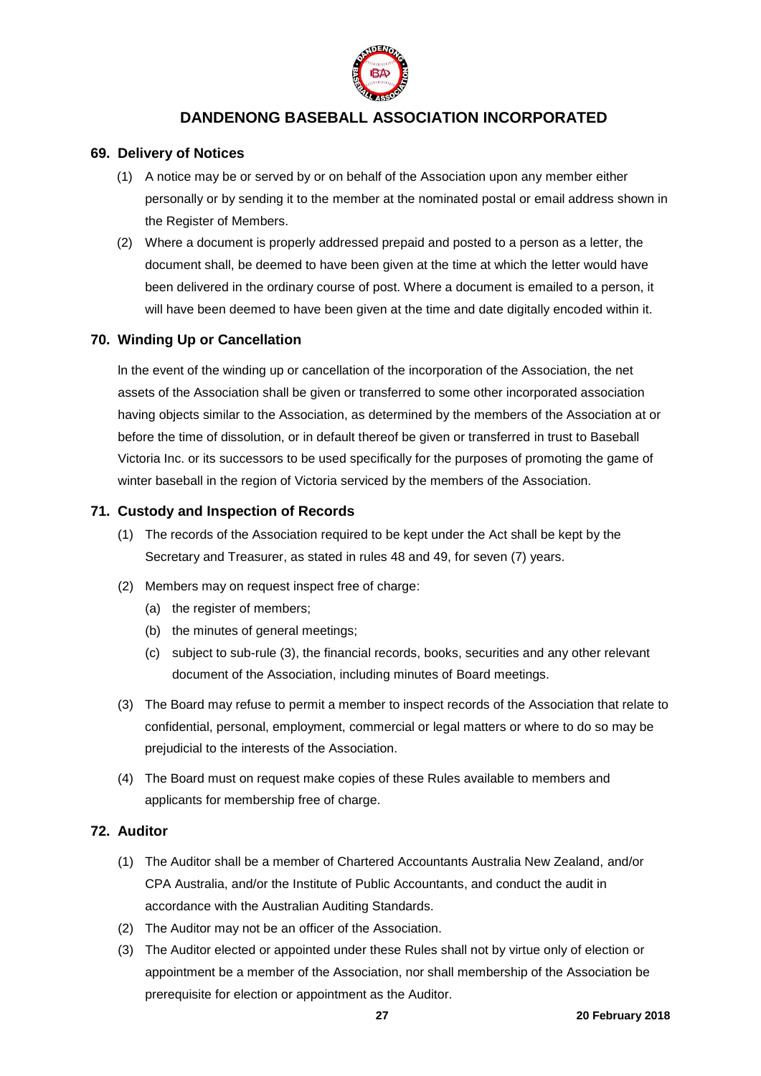

## <span id="page-26-0"></span>**69. Delivery of Notices**

- (1) A notice may be or served by or on behalf of the Association upon any member either personally or by sending it to the member at the nominated postal or email address shown in the Register of Members.
- (2) Where a document is properly addressed prepaid and posted to a person as a letter, the document shall, be deemed to have been given at the time at which the letter would have been delivered in the ordinary course of post. Where a document is emailed to a person, it will have been deemed to have been given at the time and date digitally encoded within it.

## <span id="page-26-1"></span>**70. Winding Up or Cancellation**

ln the event of the winding up or cancellation of the incorporation of the Association, the net assets of the Association shall be given or transferred to some other incorporated association having objects similar to the Association, as determined by the members of the Association at or before the time of dissolution, or in default thereof be given or transferred in trust to Baseball Victoria Inc. or its successors to be used specifically for the purposes of promoting the game of winter baseball in the region of Victoria serviced by the members of the Association.

## <span id="page-26-2"></span>**71. Custody and Inspection of Records**

- (1) The records of the Association required to be kept under the Act shall be kept by the Secretary and Treasurer, as stated in rules 48 and 49, for seven (7) years.
- (2) Members may on request inspect free of charge:
	- (a) the register of members;
	- (b) the minutes of general meetings;
	- (c) subject to sub-rule (3), the financial records, books, securities and any other relevant document of the Association, including minutes of Board meetings.
- (3) The Board may refuse to permit a member to inspect records of the Association that relate to confidential, personal, employment, commercial or legal matters or where to do so may be prejudicial to the interests of the Association.
- (4) The Board must on request make copies of these Rules available to members and applicants for membership free of charge.

## <span id="page-26-3"></span>**72. Auditor**

- (1) The Auditor shall be a member of Chartered Accountants Australia New Zealand, and/or CPA Australia, and/or the Institute of Public Accountants, and conduct the audit in accordance with the Australian Auditing Standards.
- (2) The Auditor may not be an officer of the Association.
- (3) The Auditor elected or appointed under these Rules shall not by virtue only of election or appointment be a member of the Association, nor shall membership of the Association be prerequisite for election or appointment as the Auditor.